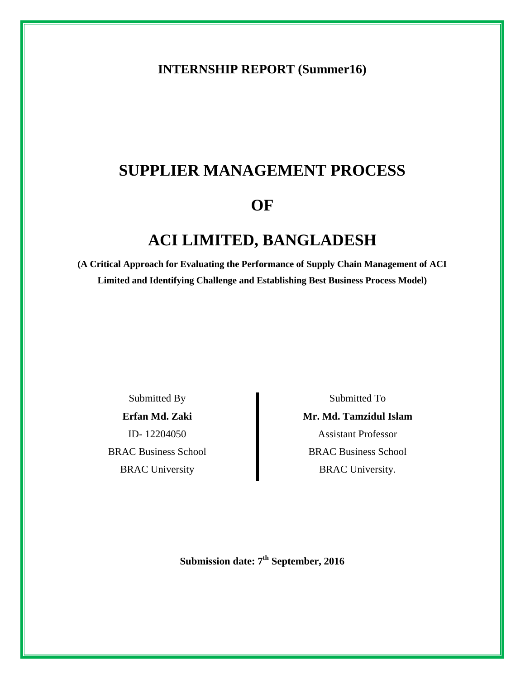# **INTERNSHIP REPORT (Summer16)**

# **SUPPLIER MANAGEMENT PROCESS**

# **OF**

# **ACI LIMITED, BANGLADESH**

**(A Critical Approach for Evaluating the Performance of Supply Chain Management of ACI Limited and Identifying Challenge and Establishing Best Business Process Model)**

Submitted By **Erfan Md. Zaki**  ID- 12204050 BRAC Business School BRAC University

Submitted To **Mr. Md. Tamzidul Islam** Assistant Professor BRAC Business School BRAC University.

Submission date: 7<sup>th</sup> September, 2016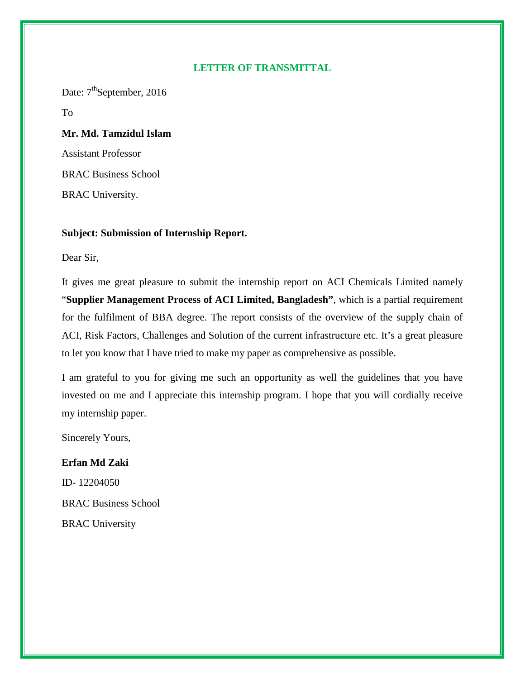### **LETTER OF TRANSMITTAL**

Date: 7<sup>th</sup>September, 2016

To

# **Mr. Md. Tamzidul Islam**

Assistant Professor BRAC Business School BRAC University.

# **Subject: Submission of Internship Report.**

Dear Sir,

It gives me great pleasure to submit the internship report on ACI Chemicals Limited namely "**Supplier Management Process of ACI Limited, Bangladesh"**, which is a partial requirement for the fulfilment of BBA degree. The report consists of the overview of the supply chain of ACI, Risk Factors, Challenges and Solution of the current infrastructure etc. It's a great pleasure to let you know that I have tried to make my paper as comprehensive as possible.

I am grateful to you for giving me such an opportunity as well the guidelines that you have invested on me and I appreciate this internship program. I hope that you will cordially receive my internship paper.

Sincerely Yours,

# **Erfan Md Zaki**

ID- 12204050 BRAC Business School BRAC University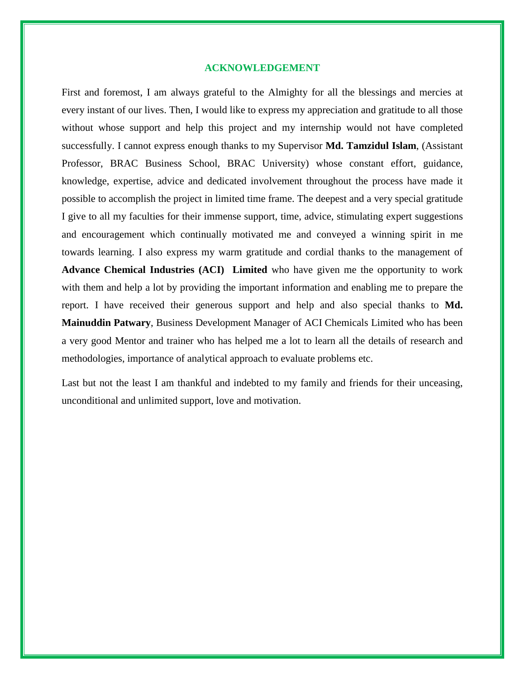#### **ACKNOWLEDGEMENT**

First and foremost, I am always grateful to the Almighty for all the blessings and mercies at every instant of our lives. Then, I would like to express my appreciation and gratitude to all those without whose support and help this project and my internship would not have completed successfully. I cannot express enough thanks to my Supervisor **Md. Tamzidul Islam**, (Assistant Professor, BRAC Business School, BRAC University) whose constant effort, guidance, knowledge, expertise, advice and dedicated involvement throughout the process have made it possible to accomplish the project in limited time frame. The deepest and a very special gratitude I give to all my faculties for their immense support, time, advice, stimulating expert suggestions and encouragement which continually motivated me and conveyed a winning spirit in me towards learning. I also express my warm gratitude and cordial thanks to the management of **Advance Chemical Industries (ACI) Limited** who have given me the opportunity to work with them and help a lot by providing the important information and enabling me to prepare the report. I have received their generous support and help and also special thanks to **Md. Mainuddin Patwary**, Business Development Manager of ACI Chemicals Limited who has been a very good Mentor and trainer who has helped me a lot to learn all the details of research and methodologies, importance of analytical approach to evaluate problems etc.

Last but not the least I am thankful and indebted to my family and friends for their unceasing, unconditional and unlimited support, love and motivation.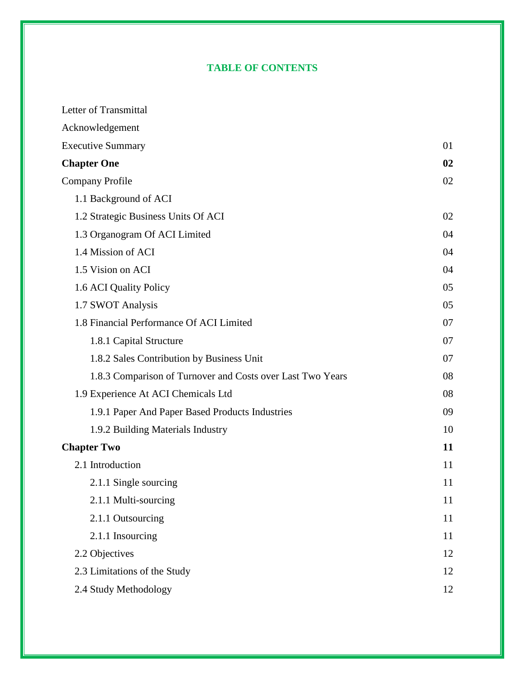# **TABLE OF CONTENTS**

| Letter of Transmittal                                      |    |
|------------------------------------------------------------|----|
| Acknowledgement                                            |    |
| <b>Executive Summary</b>                                   | 01 |
| <b>Chapter One</b>                                         | 02 |
| <b>Company Profile</b>                                     | 02 |
| 1.1 Background of ACI                                      |    |
| 1.2 Strategic Business Units Of ACI                        | 02 |
| 1.3 Organogram Of ACI Limited                              | 04 |
| 1.4 Mission of ACI                                         | 04 |
| 1.5 Vision on ACI                                          | 04 |
| 1.6 ACI Quality Policy                                     | 05 |
| 1.7 SWOT Analysis                                          | 05 |
| 1.8 Financial Performance Of ACI Limited                   | 07 |
| 1.8.1 Capital Structure                                    | 07 |
| 1.8.2 Sales Contribution by Business Unit                  | 07 |
| 1.8.3 Comparison of Turnover and Costs over Last Two Years | 08 |
| 1.9 Experience At ACI Chemicals Ltd                        | 08 |
| 1.9.1 Paper And Paper Based Products Industries            | 09 |
| 1.9.2 Building Materials Industry                          | 10 |
| <b>Chapter Two</b>                                         | 11 |
| 2.1 Introduction                                           | 11 |
| 2.1.1 Single sourcing                                      | 11 |
| 2.1.1 Multi-sourcing                                       | 11 |
| 2.1.1 Outsourcing                                          | 11 |
| 2.1.1 Insourcing                                           | 11 |
| 2.2 Objectives                                             | 12 |
| 2.3 Limitations of the Study                               | 12 |
| 2.4 Study Methodology                                      | 12 |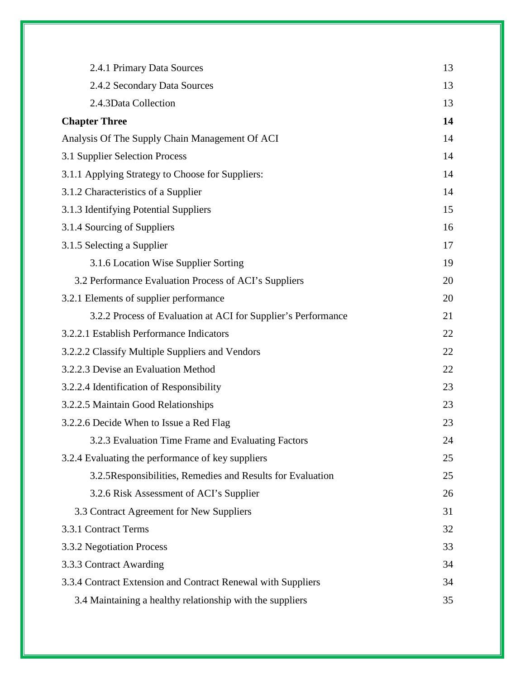| 2.4.1 Primary Data Sources                                    | 13 |  |  |
|---------------------------------------------------------------|----|--|--|
| 2.4.2 Secondary Data Sources                                  | 13 |  |  |
| 2.4.3Data Collection                                          | 13 |  |  |
| <b>Chapter Three</b>                                          | 14 |  |  |
| Analysis Of The Supply Chain Management Of ACI                | 14 |  |  |
| 3.1 Supplier Selection Process                                | 14 |  |  |
| 3.1.1 Applying Strategy to Choose for Suppliers:              | 14 |  |  |
| 3.1.2 Characteristics of a Supplier                           | 14 |  |  |
| 3.1.3 Identifying Potential Suppliers                         | 15 |  |  |
| 3.1.4 Sourcing of Suppliers                                   | 16 |  |  |
| 3.1.5 Selecting a Supplier                                    | 17 |  |  |
| 3.1.6 Location Wise Supplier Sorting                          | 19 |  |  |
| 3.2 Performance Evaluation Process of ACI's Suppliers         | 20 |  |  |
| 3.2.1 Elements of supplier performance                        | 20 |  |  |
| 3.2.2 Process of Evaluation at ACI for Supplier's Performance | 21 |  |  |
| 3.2.2.1 Establish Performance Indicators                      |    |  |  |
| 3.2.2.2 Classify Multiple Suppliers and Vendors               |    |  |  |
| 3.2.2.3 Devise an Evaluation Method                           | 22 |  |  |
| 3.2.2.4 Identification of Responsibility                      | 23 |  |  |
| 3.2.2.5 Maintain Good Relationships                           | 23 |  |  |
| 3.2.2.6 Decide When to Issue a Red Flag                       | 23 |  |  |
| 3.2.3 Evaluation Time Frame and Evaluating Factors            | 24 |  |  |
| 3.2.4 Evaluating the performance of key suppliers             | 25 |  |  |
| 3.2.5 Responsibilities, Remedies and Results for Evaluation   | 25 |  |  |
| 3.2.6 Risk Assessment of ACI's Supplier                       | 26 |  |  |
| 3.3 Contract Agreement for New Suppliers                      | 31 |  |  |
| 3.3.1 Contract Terms                                          | 32 |  |  |
| 3.3.2 Negotiation Process                                     | 33 |  |  |
| 3.3.3 Contract Awarding                                       | 34 |  |  |
| 3.3.4 Contract Extension and Contract Renewal with Suppliers  | 34 |  |  |
| 3.4 Maintaining a healthy relationship with the suppliers     | 35 |  |  |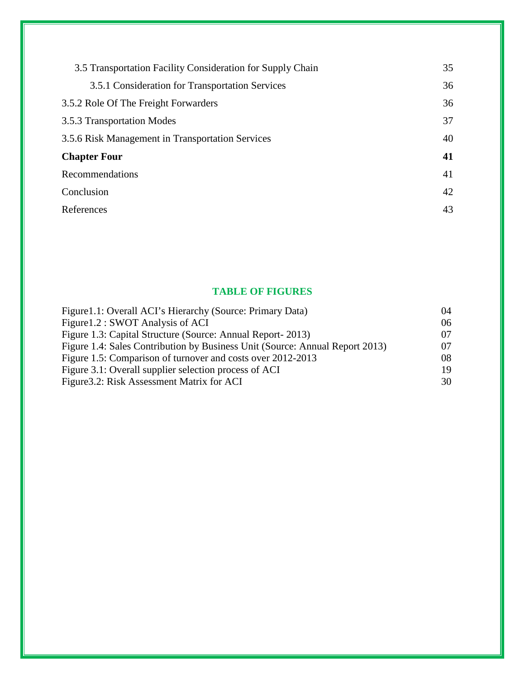| 3.5 Transportation Facility Consideration for Supply Chain | 35 |
|------------------------------------------------------------|----|
| 3.5.1 Consideration for Transportation Services            | 36 |
| 3.5.2 Role Of The Freight Forwarders                       | 36 |
| 3.5.3 Transportation Modes                                 | 37 |
| 3.5.6 Risk Management in Transportation Services           | 40 |
| <b>Chapter Four</b>                                        | 41 |
| Recommendations                                            | 41 |
| Conclusion                                                 | 42 |
| References                                                 | 43 |
|                                                            |    |

# **TABLE OF FIGURES**

| Figure 1.1: Overall ACI's Hierarchy (Source: Primary Data)                   | 04 |
|------------------------------------------------------------------------------|----|
| Figure 1.2 : SWOT Analysis of ACI                                            | 06 |
| Figure 1.3: Capital Structure (Source: Annual Report- 2013)                  | 07 |
| Figure 1.4: Sales Contribution by Business Unit (Source: Annual Report 2013) | 07 |
| Figure 1.5: Comparison of turnover and costs over 2012-2013                  | 08 |
| Figure 3.1: Overall supplier selection process of ACI                        | 19 |
| Figure 3.2: Risk Assessment Matrix for ACI                                   | 30 |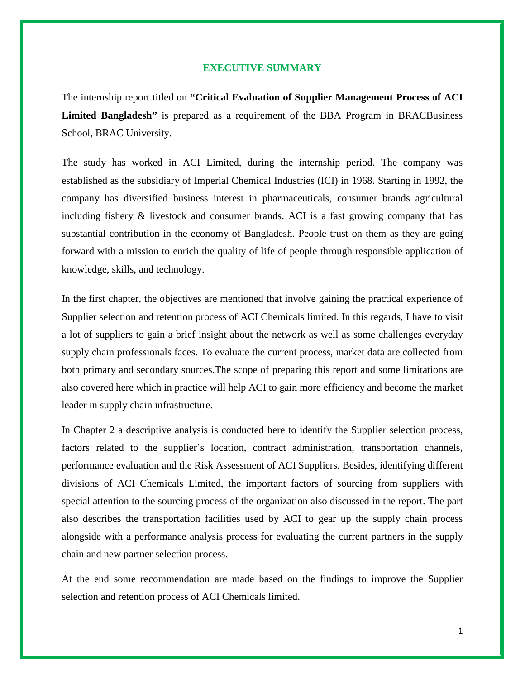#### **EXECUTIVE SUMMARY**

The internship report titled on **"Critical Evaluation of Supplier Management Process of ACI Limited Bangladesh"** is prepared as a requirement of the BBA Program in BRACBusiness School, BRAC University.

The study has worked in ACI Limited, during the internship period. The company was established as the subsidiary of Imperial Chemical Industries (ICI) in 1968. Starting in 1992, the company has diversified business interest in pharmaceuticals, consumer brands agricultural including fishery & livestock and consumer brands. ACI is a fast growing company that has substantial contribution in the economy of Bangladesh. People trust on them as they are going forward with a mission to enrich the quality of life of people through responsible application of knowledge, skills, and technology.

In the first chapter, the objectives are mentioned that involve gaining the practical experience of Supplier selection and retention process of ACI Chemicals limited. In this regards, I have to visit a lot of suppliers to gain a brief insight about the network as well as some challenges everyday supply chain professionals faces. To evaluate the current process, market data are collected from both primary and secondary sources.The scope of preparing this report and some limitations are also covered here which in practice will help ACI to gain more efficiency and become the market leader in supply chain infrastructure.

In Chapter 2 a descriptive analysis is conducted here to identify the Supplier selection process, factors related to the supplier's location, contract administration, transportation channels, performance evaluation and the Risk Assessment of ACI Suppliers. Besides, identifying different divisions of ACI Chemicals Limited, the important factors of sourcing from suppliers with special attention to the sourcing process of the organization also discussed in the report. The part also describes the transportation facilities used by ACI to gear up the supply chain process alongside with a performance analysis process for evaluating the current partners in the supply chain and new partner selection process.

At the end some recommendation are made based on the findings to improve the Supplier selection and retention process of ACI Chemicals limited.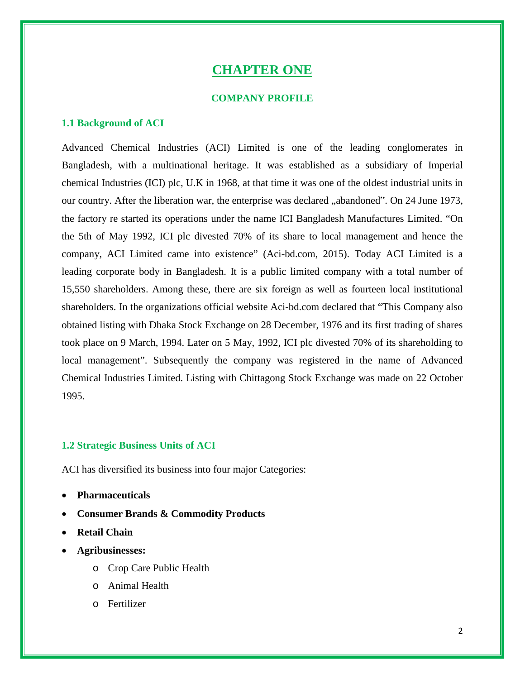# **CHAPTER ONE**

#### **COMPANY PROFILE**

#### **1.1 Background of ACI**

Advanced Chemical Industries (ACI) Limited is one of the leading conglomerates in Bangladesh, with a multinational heritage. It was established as a subsidiary of Imperial chemical Industries (ICI) plc, U.K in 1968, at that time it was one of the oldest industrial units in our country. After the liberation war, the enterprise was declared "abandoned". On 24 June 1973, the factory re started its operations under the name ICI Bangladesh Manufactures Limited. "On the 5th of May 1992, ICI plc divested 70% of its share to local management and hence the company, ACI Limited came into existence" (Aci-bd.com, 2015). Today ACI Limited is a leading corporate body in Bangladesh. It is a public limited company with a total number of 15,550 shareholders. Among these, there are six foreign as well as fourteen local institutional shareholders. In the organizations official website Aci-bd.com declared that "This Company also obtained listing with Dhaka Stock Exchange on 28 December, 1976 and its first trading of shares took place on 9 March, 1994. Later on 5 May, 1992, ICI plc divested 70% of its shareholding to local management". Subsequently the company was registered in the name of Advanced Chemical Industries Limited. Listing with Chittagong Stock Exchange was made on 22 October 1995.

# **1.2 Strategic Business Units of ACI**

ACI has diversified its business into four major Categories:

- **Pharmaceuticals**
- **Consumer Brands & Commodity Products**
- **Retail Chain**
- **Agribusinesses:**
	- o Crop Care Public Health
	- o Animal Health
	- o Fertilizer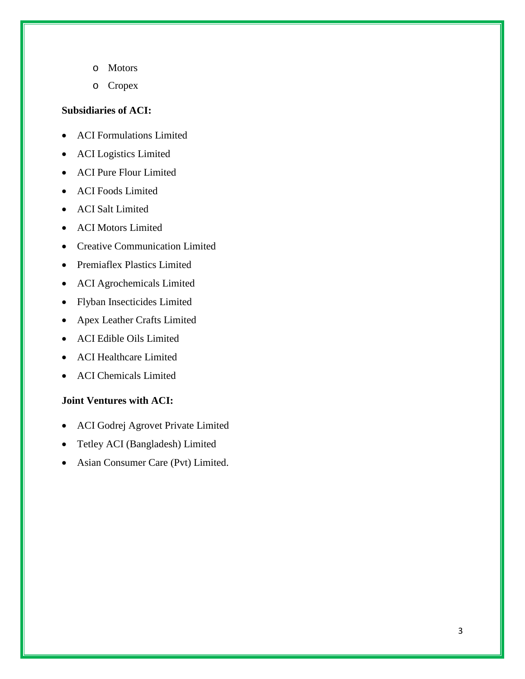- o Motors
- o Cropex

# **Subsidiaries of ACI:**

- ACI Formulations Limited
- ACI Logistics Limited
- ACI Pure Flour Limited
- ACI Foods Limited
- ACI Salt Limited
- ACI Motors Limited
- Creative Communication Limited
- Premiaflex Plastics Limited
- ACI Agrochemicals Limited
- Flyban Insecticides Limited
- Apex Leather Crafts Limited
- ACI Edible Oils Limited
- ACI Healthcare Limited
- ACI Chemicals Limited

# **Joint Ventures with ACI:**

- ACI Godrej Agrovet Private Limited
- Tetley ACI (Bangladesh) Limited
- Asian Consumer Care (Pvt) Limited.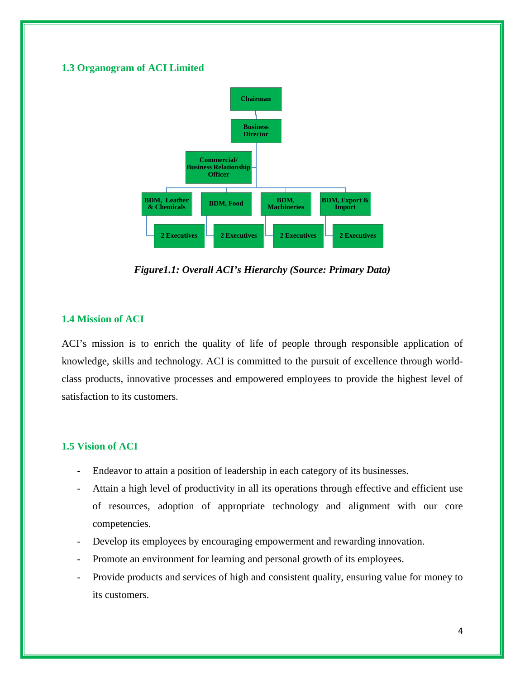# **1.3 Organogram of ACI Limited**



*Figure1.1: Overall ACI's Hierarchy (Source: Primary Data)*

# **1.4 Mission of ACI**

ACI's mission is to enrich the quality of life of people through responsible application of knowledge, skills and technology. ACI is committed to the pursuit of excellence through worldclass products, innovative processes and empowered employees to provide the highest level of satisfaction to its customers.

# **1.5 Vision of ACI**

- Endeavor to attain a position of leadership in each category of its businesses.
- Attain a high level of productivity in all its operations through effective and efficient use of resources, adoption of appropriate technology and alignment with our core competencies.
- Develop its employees by encouraging empowerment and rewarding innovation.
- Promote an environment for learning and personal growth of its employees.
- Provide products and services of high and consistent quality, ensuring value for money to its customers.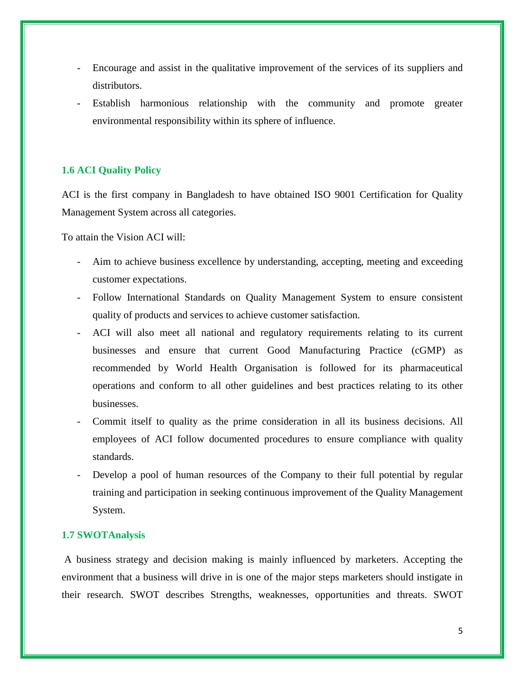- Encourage and assist in the qualitative improvement of the services of its suppliers and distributors.
- Establish harmonious relationship with the community and promote greater environmental responsibility within its sphere of influence.

# **1.6 ACI Quality Policy**

ACI is the first company in Bangladesh to have obtained ISO 9001 Certification for Quality Management System across all categories.

To attain the Vision ACI will:

- Aim to achieve business excellence by understanding, accepting, meeting and exceeding customer expectations.
- Follow International Standards on Quality Management System to ensure consistent quality of products and services to achieve customer satisfaction.
- ACI will also meet all national and regulatory requirements relating to its current businesses and ensure that current Good Manufacturing Practice (cGMP) as recommended by World Health Organisation is followed for its pharmaceutical operations and conform to all other guidelines and best practices relating to its other businesses.
- Commit itself to quality as the prime consideration in all its business decisions. All employees of ACI follow documented procedures to ensure compliance with quality standards.
- Develop a pool of human resources of the Company to their full potential by regular training and participation in seeking continuous improvement of the Quality Management System.

# **1.7 SWOTAnalysis**

A business strategy and decision making is mainly influenced by marketers. Accepting the environment that a business will drive in is one of the major steps marketers should instigate in their research. SWOT describes Strengths, weaknesses, opportunities and threats. SWOT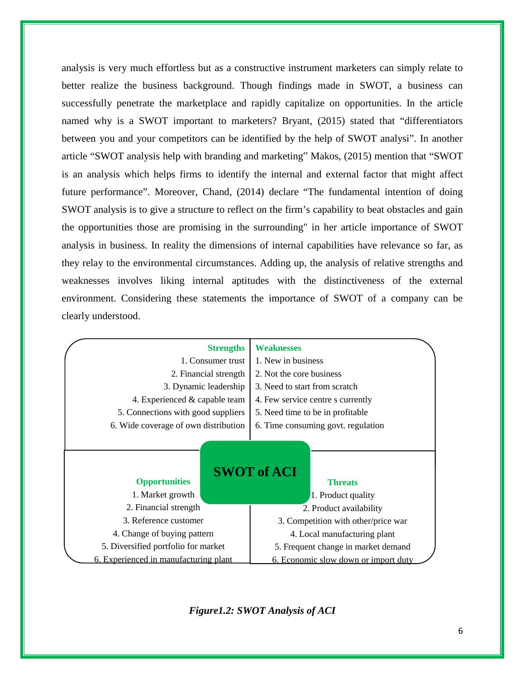analysis is very much effortless but as a constructive instrument marketers can simply relate to better realize the business background. Though findings made in SWOT, a business can successfully penetrate the marketplace and rapidly capitalize on opportunities. In the article named why is a SWOT important to marketers? Bryant, (2015) stated that "differentiators between you and your competitors can be identified by the help of SWOT analysi". In another article "SWOT analysis help with branding and marketing" Makos, (2015) mention that "SWOT is an analysis which helps firms to identify the internal and external factor that might affect future performance". Moreover, Chand, (2014) declare "The fundamental intention of doing SWOT analysis is to give a structure to reflect on the firm's capability to beat obstacles and gain the opportunities those are promising in the surrounding" in her article importance of SWOT analysis in business. In reality the dimensions of internal capabilities have relevance so far, as they relay to the environmental circumstances. Adding up, the analysis of relative strengths and weaknesses involves liking internal aptitudes with the distinctiveness of the external environment. Considering these statements the importance of SWOT of a company can be clearly understood.

| <b>Strengths</b>                      | <b>Weaknesses</b>                    |  |  |
|---------------------------------------|--------------------------------------|--|--|
| 1. Consumer trust                     | 1. New in business                   |  |  |
| 2. Financial strength                 | 2. Not the core business             |  |  |
| 3. Dynamic leadership                 | 3. Need to start from scratch        |  |  |
| 4. Experienced & capable team         | 4. Few service centre s currently    |  |  |
| 5. Connections with good suppliers    | 5. Need time to be in profitable.    |  |  |
| 6. Wide coverage of own distribution  | 6. Time consuming govt. regulation   |  |  |
|                                       |                                      |  |  |
|                                       |                                      |  |  |
|                                       | <b>SWOT of ACI</b>                   |  |  |
| <b>Opportunities</b>                  | <b>Threats</b>                       |  |  |
| 1. Market growth                      | 1. Product quality                   |  |  |
| 2. Financial strength                 | 2. Product availability              |  |  |
| 3. Reference customer                 | 3. Competition with other/price war  |  |  |
| 4. Change of buying pattern           | 4. Local manufacturing plant         |  |  |
| 5. Diversified portfolio for market   | 5. Frequent change in market demand  |  |  |
| 6. Experienced in manufacturing plant | 6. Economic slow down or import duty |  |  |

*Figure1.2: SWOT Analysis of ACI*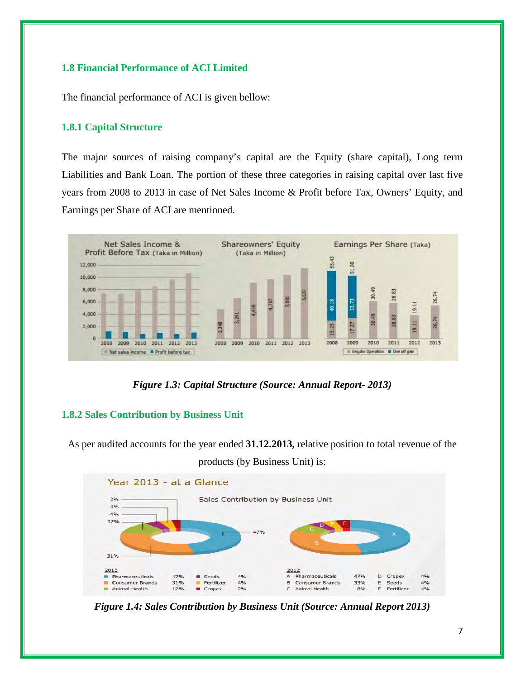# **1.8 Financial Performance of ACI Limited**

The financial performance of ACI is given bellow:

# **1.8.1 Capital Structure**

The major sources of raising company's capital are the Equity (share capital), Long term Liabilities and Bank Loan. The portion of these three categories in raising capital over last five years from 2008 to 2013 in case of Net Sales Income & Profit before Tax, Owners' Equity, and Earnings per Share of ACI are mentioned.



*Figure 1.3: Capital Structure (Source: Annual Report- 2013)*

#### **1.8.2 Sales Contribution by Business Unit**

As per audited accounts for the year ended **31.12.2013,** relative position to total revenue of the

products (by Business Unit) is:



*Figure 1.4: Sales Contribution by Business Unit (Source: Annual Report 2013)*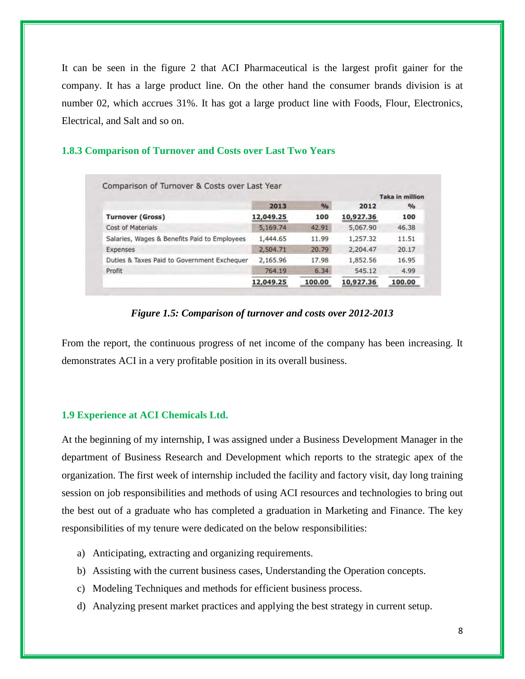It can be seen in the figure 2 that ACI Pharmaceutical is the largest profit gainer for the company. It has a large product line. On the other hand the consumer brands division is at number 02, which accrues 31%. It has got a large product line with Foods, Flour, Electronics, Electrical, and Salt and so on.

# **1.8.3 Comparison of Turnover and Costs over Last Two Years**

|                                              | Comparison of Turnover & Costs over Last Year |               |           | <b>Taka in million</b> |
|----------------------------------------------|-----------------------------------------------|---------------|-----------|------------------------|
|                                              | 2013                                          | $\frac{9}{0}$ | 2012      | $\frac{9}{6}$          |
| <b>Turnover (Gross)</b>                      | 12,049.25                                     | 100           | 10,927.36 | 100                    |
| <b>Cost of Materials</b>                     | 5,169.74                                      | 42.91         | 5,067.90  | 46.38                  |
| Salaries, Wages & Benefits Paid to Employees | 1,444.65                                      | 11.99         | 1,257.32  | 11.51                  |
| Expenses                                     | 2,504.71                                      | 20.79         | 2,204.47  | 20.17                  |
| Duties & Taxes Paid to Government Exchequer  | 2,165.96                                      | 17.98         | 1,852.56  | 16.95                  |
| Profit                                       | 764.19                                        | 6.34          | 545.12    | 4.99                   |
|                                              | 12,049.25                                     | 100.00        | 10,927.36 | 100.00                 |

#### *Figure 1.5: Comparison of turnover and costs over 2012-2013*

From the report, the continuous progress of net income of the company has been increasing. It demonstrates ACI in a very profitable position in its overall business.

#### **1.9 Experience at ACI Chemicals Ltd.**

At the beginning of my internship, I was assigned under a Business Development Manager in the department of Business Research and Development which reports to the strategic apex of the organization. The first week of internship included the facility and factory visit, day long training session on job responsibilities and methods of using ACI resources and technologies to bring out the best out of a graduate who has completed a graduation in Marketing and Finance. The key responsibilities of my tenure were dedicated on the below responsibilities:

- a) Anticipating, extracting and organizing requirements.
- b) Assisting with the current business cases, Understanding the Operation concepts.
- c) Modeling Techniques and methods for efficient business process.
- d) Analyzing present market practices and applying the best strategy in current setup.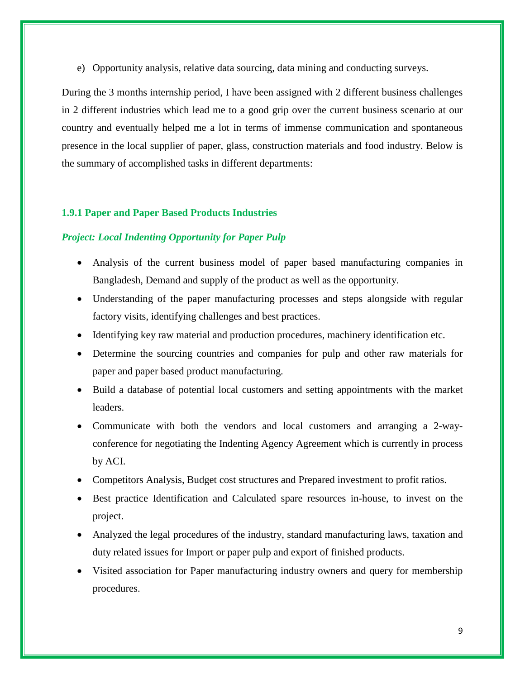e) Opportunity analysis, relative data sourcing, data mining and conducting surveys.

During the 3 months internship period, I have been assigned with 2 different business challenges in 2 different industries which lead me to a good grip over the current business scenario at our country and eventually helped me a lot in terms of immense communication and spontaneous presence in the local supplier of paper, glass, construction materials and food industry. Below is the summary of accomplished tasks in different departments:

#### **1.9.1 Paper and Paper Based Products Industries**

# *Project: Local Indenting Opportunity for Paper Pulp*

- Analysis of the current business model of paper based manufacturing companies in Bangladesh, Demand and supply of the product as well as the opportunity.
- Understanding of the paper manufacturing processes and steps alongside with regular factory visits, identifying challenges and best practices.
- Identifying key raw material and production procedures, machinery identification etc.
- Determine the sourcing countries and companies for pulp and other raw materials for paper and paper based product manufacturing.
- Build a database of potential local customers and setting appointments with the market leaders.
- Communicate with both the vendors and local customers and arranging a 2-wayconference for negotiating the Indenting Agency Agreement which is currently in process by ACI.
- Competitors Analysis, Budget cost structures and Prepared investment to profit ratios.
- Best practice Identification and Calculated spare resources in-house, to invest on the project.
- Analyzed the legal procedures of the industry, standard manufacturing laws, taxation and duty related issues for Import or paper pulp and export of finished products.
- Visited association for Paper manufacturing industry owners and query for membership procedures.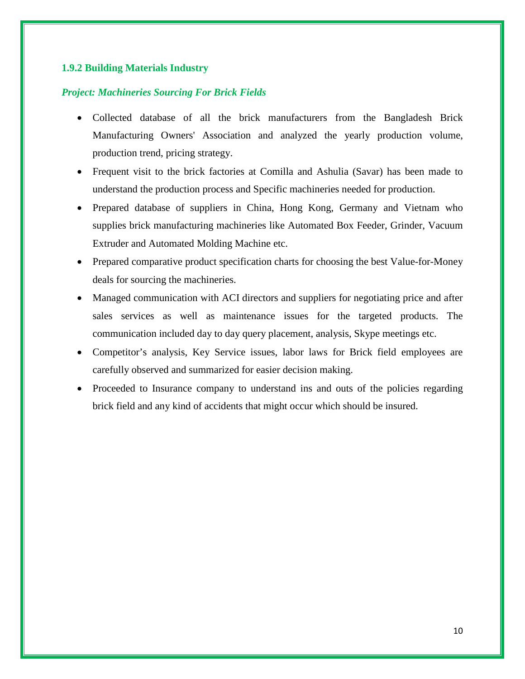# **1.9.2 Building Materials Industry**

# *Project: Machineries Sourcing For Brick Fields*

- Collected database of all the brick manufacturers from the Bangladesh Brick Manufacturing Owners' Association and analyzed the yearly production volume, production trend, pricing strategy.
- Frequent visit to the brick factories at Comilla and Ashulia (Savar) has been made to understand the production process and Specific machineries needed for production.
- Prepared database of suppliers in China, Hong Kong, Germany and Vietnam who supplies brick manufacturing machineries like Automated Box Feeder, Grinder, Vacuum Extruder and Automated Molding Machine etc.
- Prepared comparative product specification charts for choosing the best Value-for-Money deals for sourcing the machineries.
- Managed communication with ACI directors and suppliers for negotiating price and after sales services as well as maintenance issues for the targeted products. The communication included day to day query placement, analysis, Skype meetings etc.
- Competitor's analysis, Key Service issues, labor laws for Brick field employees are carefully observed and summarized for easier decision making.
- Proceeded to Insurance company to understand ins and outs of the policies regarding brick field and any kind of accidents that might occur which should be insured.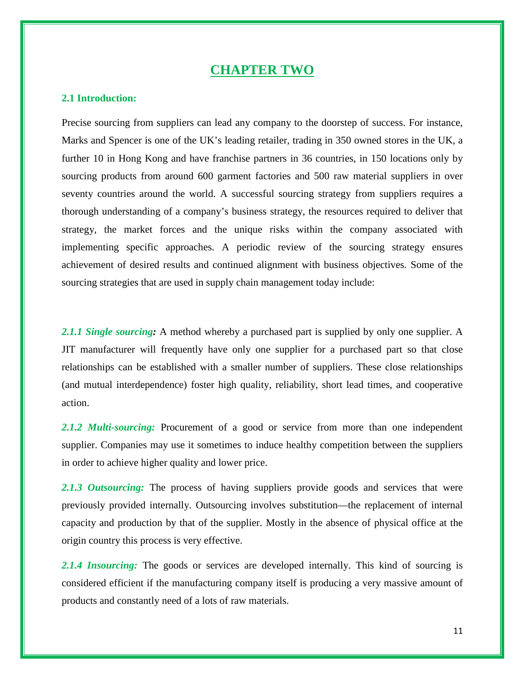# **CHAPTER TWO**

#### **2.1 Introduction:**

Precise sourcing from suppliers can lead any company to the doorstep of success. For instance, Marks and Spencer is one of the UK's leading retailer, trading in 350 owned stores in the UK, a further 10 in Hong Kong and have franchise partners in 36 countries, in 150 locations only by sourcing products from around 600 garment factories and 500 raw material suppliers in over seventy countries around the world. A successful sourcing strategy from suppliers requires a thorough understanding of a company's business strategy, the resources required to deliver that strategy, the market forces and the unique risks within the company associated with implementing specific approaches. A periodic review of the sourcing strategy ensures achievement of desired results and continued alignment with business objectives. Some of the sourcing strategies that are used in supply chain management today include:

*2.1.1 Single sourcing:* A method whereby a purchased part is supplied by only one supplier. A JIT manufacturer will frequently have only one supplier for a purchased part so that close relationships can be established with a smaller number of suppliers. These close relationships (and mutual interdependence) foster high quality, reliability, short lead times, and cooperative action.

*2.1.2 Multi-sourcing:* Procurement of a good or service from more than one independent supplier. Companies may use it sometimes to induce healthy competition between the suppliers in order to achieve higher quality and lower price.

2.1.3 Outsourcing: The process of having suppliers provide goods and services that were previously provided internally. Outsourcing involves substitution—the replacement of internal capacity and production by that of the supplier. Mostly in the absence of physical office at the origin country this process is very effective.

2.1.4 Insourcing: The goods or services are developed internally. This kind of sourcing is considered efficient if the manufacturing company itself is producing a very massive amount of products and constantly need of a lots of raw materials.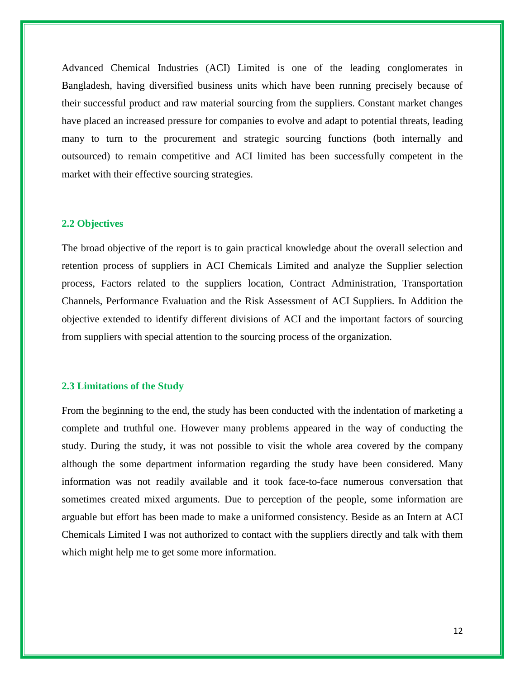Advanced Chemical Industries (ACI) Limited is one of the leading conglomerates in Bangladesh, having diversified business units which have been running precisely because of their successful product and raw material sourcing from the suppliers. Constant market changes have placed an increased pressure for companies to evolve and adapt to potential threats, leading many to turn to the procurement and strategic sourcing functions (both internally and outsourced) to remain competitive and ACI limited has been successfully competent in the market with their effective sourcing strategies.

#### **2.2 Objectives**

The broad objective of the report is to gain practical knowledge about the overall selection and retention process of suppliers in ACI Chemicals Limited and analyze the Supplier selection process, Factors related to the suppliers location, Contract Administration, Transportation Channels, Performance Evaluation and the Risk Assessment of ACI Suppliers. In Addition the objective extended to identify different divisions of ACI and the important factors of sourcing from suppliers with special attention to the sourcing process of the organization.

#### **2.3 Limitations of the Study**

From the beginning to the end, the study has been conducted with the indentation of marketing a complete and truthful one. However many problems appeared in the way of conducting the study. During the study, it was not possible to visit the whole area covered by the company although the some department information regarding the study have been considered. Many information was not readily available and it took face-to-face numerous conversation that sometimes created mixed arguments. Due to perception of the people, some information are arguable but effort has been made to make a uniformed consistency. Beside as an Intern at ACI Chemicals Limited I was not authorized to contact with the suppliers directly and talk with them which might help me to get some more information.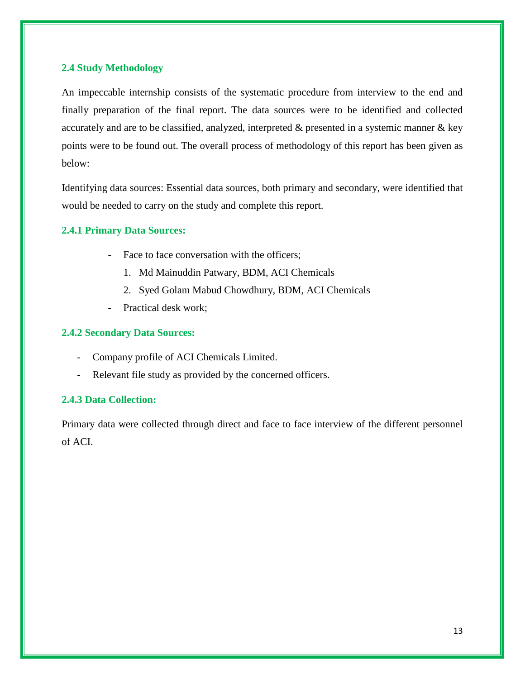# **2.4 Study Methodology**

An impeccable internship consists of the systematic procedure from interview to the end and finally preparation of the final report. The data sources were to be identified and collected accurately and are to be classified, analyzed, interpreted & presented in a systemic manner & key points were to be found out. The overall process of methodology of this report has been given as below:

Identifying data sources: Essential data sources, both primary and secondary, were identified that would be needed to carry on the study and complete this report.

# **2.4.1 Primary Data Sources:**

- Face to face conversation with the officers;
	- 1. Md Mainuddin Patwary, BDM, ACI Chemicals
	- 2. Syed Golam Mabud Chowdhury, BDM, ACI Chemicals
- Practical desk work;

# **2.4.2 Secondary Data Sources:**

- Company profile of ACI Chemicals Limited.
- Relevant file study as provided by the concerned officers.

# **2.4.3 Data Collection:**

Primary data were collected through direct and face to face interview of the different personnel of ACI.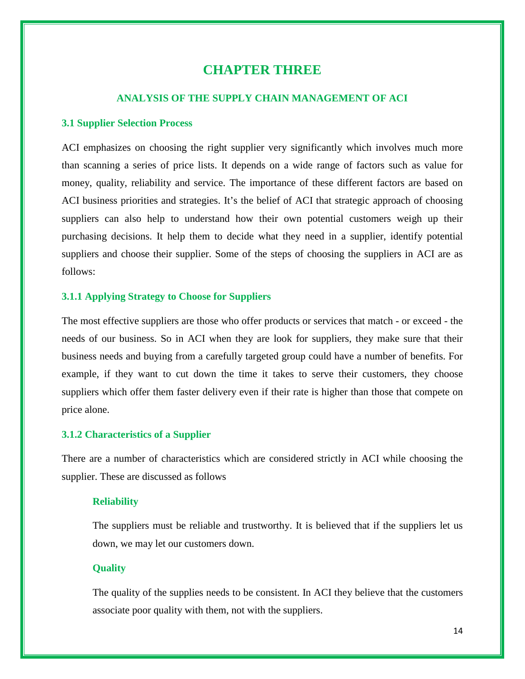# **CHAPTER THREE**

# **ANALYSIS OF THE SUPPLY CHAIN MANAGEMENT OF ACI**

#### **3.1 Supplier Selection Process**

ACI emphasizes on choosing the right supplier very significantly which involves much more than scanning a series of price lists. It depends on a wide range of factors such as value for money, quality, reliability and service. The importance of these different factors are based on ACI business priorities and strategies. It's the belief of ACI that strategic approach of choosing suppliers can also help to understand how their own potential customers weigh up their purchasing decisions. It help them to decide what they need in a supplier, identify potential suppliers and choose their supplier. Some of the steps of choosing the suppliers in ACI are as follows:

#### **3.1.1 Applying Strategy to Choose for Suppliers**

The most effective suppliers are those who offer products or services that match - or exceed - the needs of our business. So in ACI when they are look for suppliers, they make sure that their business needs and buying from a carefully targeted group could have a number of benefits. For example, if they want to cut down the time it takes to serve their customers, they choose suppliers which offer them faster delivery even if their rate is higher than those that compete on price alone.

#### **3.1.2 Characteristics of a Supplier**

There are a number of characteristics which are considered strictly in ACI while choosing the supplier. These are discussed as follows

#### **Reliability**

The suppliers must be reliable and trustworthy. It is believed that if the suppliers let us down, we may let our customers down.

#### **Quality**

The quality of the supplies needs to be consistent. In ACI they believe that the customers associate poor quality with them, not with the suppliers.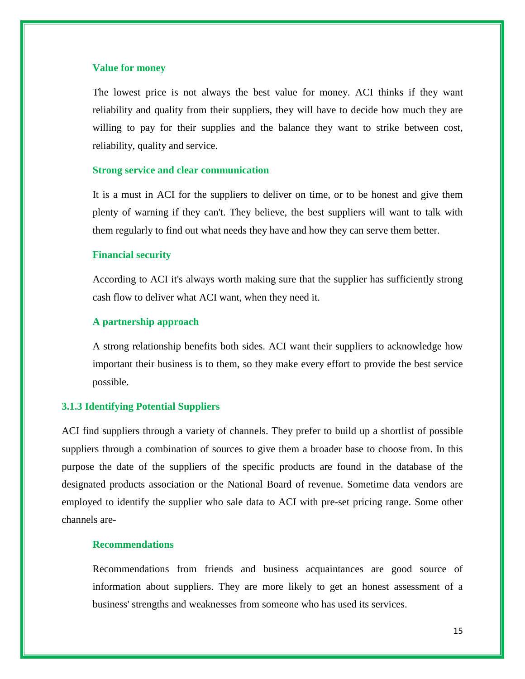#### **Value for money**

The lowest price is not always the best value for money. ACI thinks if they want reliability and quality from their suppliers, they will have to decide how much they are willing to pay for their supplies and the balance they want to strike between cost, reliability, quality and service.

#### **Strong service and clear communication**

It is a must in ACI for the suppliers to deliver on time, or to be honest and give them plenty of warning if they can't. They believe, the best suppliers will want to talk with them regularly to find out what needs they have and how they can serve them better.

#### **Financial security**

According to ACI it's always worth making sure that the supplier has sufficiently strong cash flow to deliver what ACI want, when they need it.

#### **A partnership approach**

A strong relationship benefits both sides. ACI want their suppliers to acknowledge how important their business is to them, so they make every effort to provide the best service possible.

# **3.1.3 Identifying Potential Suppliers**

ACI find suppliers through a variety of channels. They prefer to build up a shortlist of possible suppliers through a combination of sources to give them a broader base to choose from. In this purpose the date of the suppliers of the specific products are found in the database of the designated products association or the National Board of revenue. Sometime data vendors are employed to identify the supplier who sale data to ACI with pre-set pricing range. Some other channels are-

# **Recommendations**

Recommendations from friends and business acquaintances are good source of information about suppliers. They are more likely to get an honest assessment of a business' strengths and weaknesses from someone who has used its services.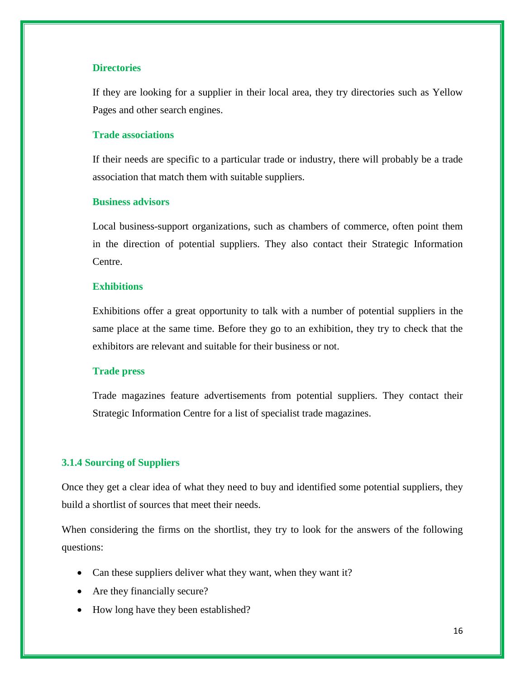# **Directories**

If they are looking for a supplier in their local area, they try directories such as Yellow Pages and other search engines.

# **Trade associations**

If their needs are specific to a particular trade or industry, there will probably be a trade association that match them with suitable suppliers.

#### **Business advisors**

Local business-support organizations, such as chambers of commerce, often point them in the direction of potential suppliers. They also contact their Strategic Information Centre.

#### **Exhibitions**

Exhibitions offer a great opportunity to talk with a number of potential suppliers in the same place at the same time. Before they go to an exhibition, they try to check that the exhibitors are relevant and suitable for their business or not.

#### **Trade press**

Trade magazines feature advertisements from potential suppliers. They contact their Strategic Information Centre for a list of specialist trade magazines.

#### **3.1.4 Sourcing of Suppliers**

Once they get a clear idea of what they need to buy and identified some potential suppliers, they build a shortlist of sources that meet their needs.

When considering the firms on the shortlist, they try to look for the answers of the following questions:

- Can these suppliers deliver what they want, when they want it?
- Are they financially secure?
- How long have they been established?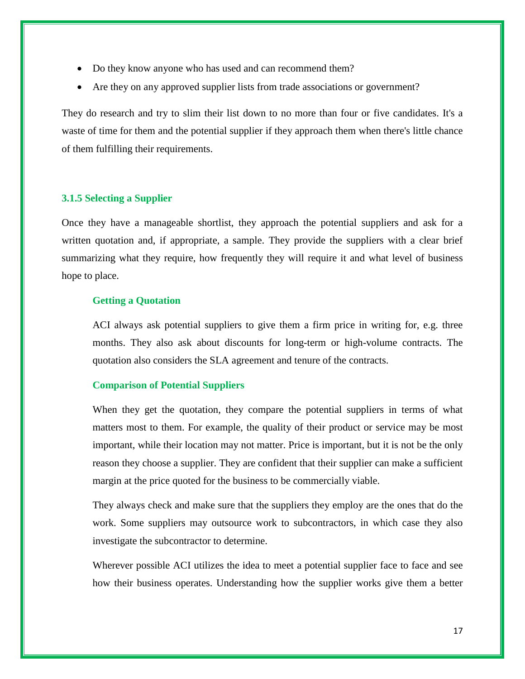- Do they know anyone who has used and can recommend them?
- Are they on any approved supplier lists from trade associations or government?

They do research and try to slim their list down to no more than four or five candidates. It's a waste of time for them and the potential supplier if they approach them when there's little chance of them fulfilling their requirements.

# **3.1.5 Selecting a Supplier**

Once they have a manageable shortlist, they approach the potential suppliers and ask for a written quotation and, if appropriate, a sample. They provide the suppliers with a clear brief summarizing what they require, how frequently they will require it and what level of business hope to place.

#### **Getting a Quotation**

ACI always ask potential suppliers to give them a firm price in writing for, e.g. three months. They also ask about discounts for long-term or high-volume contracts. The quotation also considers the SLA agreement and tenure of the contracts.

#### **Comparison of Potential Suppliers**

When they get the quotation, they compare the potential suppliers in terms of what matters most to them. For example, the quality of their product or service may be most important, while their location may not matter. Price is important, but it is not be the only reason they choose a supplier. They are confident that their supplier can make a sufficient margin at the price quoted for the business to be commercially viable.

They always check and make sure that the suppliers they employ are the ones that do the work. Some suppliers may outsource work to subcontractors, in which case they also investigate the subcontractor to determine.

Wherever possible ACI utilizes the idea to meet a potential supplier face to face and see how their business operates. Understanding how the supplier works give them a better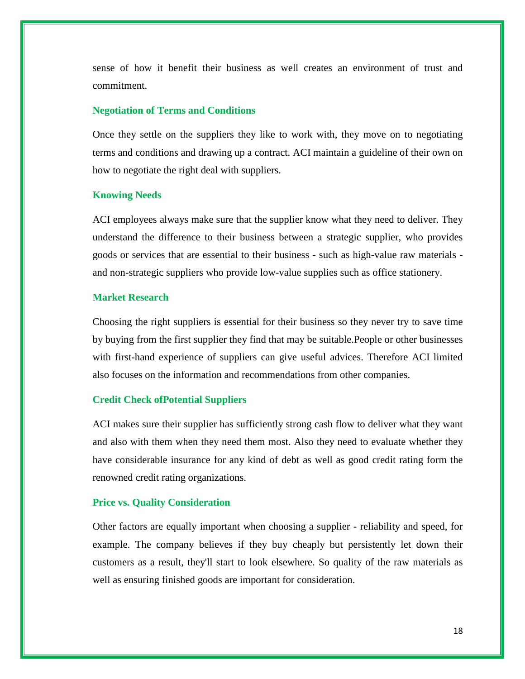sense of how it benefit their business as well creates an environment of trust and commitment.

#### **Negotiation of Terms and Conditions**

Once they settle on the suppliers they like to work with, they move on to negotiating terms and conditions and drawing up a contract. ACI maintain a guideline of their own on how to negotiate the right deal with suppliers.

#### **Knowing Needs**

ACI employees always make sure that the supplier know what they need to deliver. They understand the difference to their business between a strategic supplier, who provides goods or services that are essential to their business - such as high-value raw materials and non-strategic suppliers who provide low-value supplies such as office stationery.

# **Market Research**

Choosing the right suppliers is essential for their business so they never try to save time by buying from the first supplier they find that may be suitable.People or other businesses with first-hand experience of suppliers can give useful advices. Therefore ACI limited also focuses on the information and recommendations from other companies.

#### **Credit Check ofPotential Suppliers**

ACI makes sure their supplier has sufficiently strong cash flow to deliver what they want and also with them when they need them most. Also they need to evaluate whether they have considerable insurance for any kind of debt as well as good credit rating form the renowned credit rating organizations.

#### **Price vs. Quality Consideration**

Other factors are equally important when choosing a supplier - reliability and speed, for example. The company believes if they buy cheaply but persistently let down their customers as a result, they'll start to look elsewhere. So quality of the raw materials as well as ensuring finished goods are important for consideration.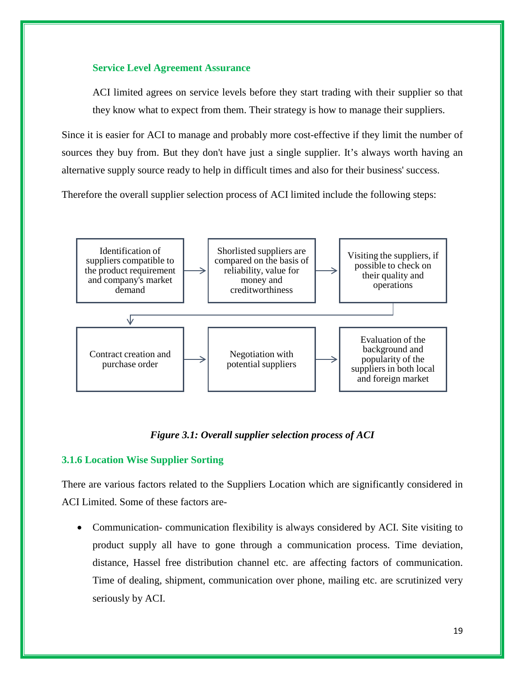# **Service Level Agreement Assurance**

ACI limited agrees on service levels before they start trading with their supplier so that they know what to expect from them. Their strategy is how to manage their suppliers.

Since it is easier for ACI to manage and probably more cost-effective if they limit the number of sources they buy from. But they don't have just a single supplier. It's always worth having an alternative supply source ready to help in difficult times and also for their business' success.

Therefore the overall supplier selection process of ACI limited include the following steps:



# *Figure 3.1: Overall supplier selection process of ACI*

# **3.1.6 Location Wise Supplier Sorting**

There are various factors related to the Suppliers Location which are significantly considered in ACI Limited. Some of these factors are-

• Communication-communication flexibility is always considered by ACI. Site visiting to product supply all have to gone through a communication process. Time deviation, distance, Hassel free distribution channel etc. are affecting factors of communication. Time of dealing, shipment, communication over phone, mailing etc. are scrutinized very seriously by ACI.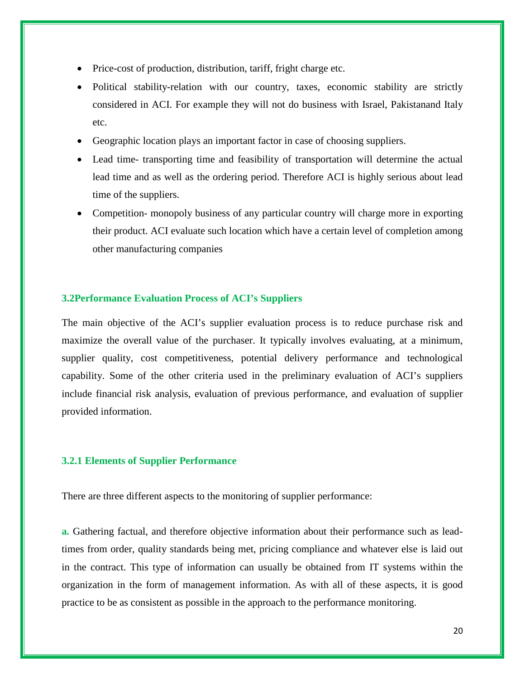- Price-cost of production, distribution, tariff, fright charge etc.
- Political stability-relation with our country, taxes, economic stability are strictly considered in ACI. For example they will not do business with Israel, Pakistanand Italy etc.
- Geographic location plays an important factor in case of choosing suppliers.
- Lead time- transporting time and feasibility of transportation will determine the actual lead time and as well as the ordering period. Therefore ACI is highly serious about lead time of the suppliers.
- Competition- monopoly business of any particular country will charge more in exporting their product. ACI evaluate such location which have a certain level of completion among other manufacturing companies

#### **3.2Performance Evaluation Process of ACI's Suppliers**

The main objective of the ACI's supplier evaluation process is to reduce purchase risk and maximize the overall value of the purchaser. It typically involves evaluating, at a minimum, supplier quality, cost competitiveness, potential delivery performance and technological capability. Some of the other criteria used in the preliminary evaluation of ACI's suppliers include financial risk analysis, evaluation of previous performance, and evaluation of supplier provided information.

#### **3.2.1 Elements of Supplier Performance**

There are three different aspects to the monitoring of supplier performance:

**a.** Gathering factual, and therefore objective information about their performance such as leadtimes from order, quality standards being met, pricing compliance and whatever else is laid out in the contract. This type of information can usually be obtained from IT systems within the organization in the form of management information. As with all of these aspects, it is good practice to be as consistent as possible in the approach to the performance monitoring.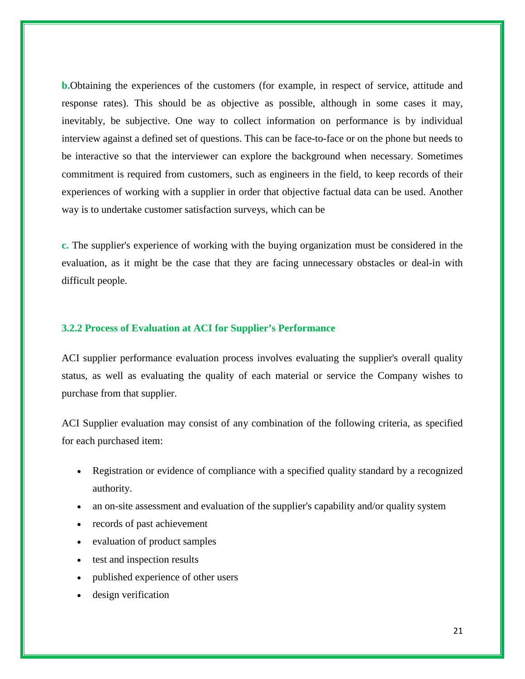**b.**Obtaining the experiences of the customers (for example, in respect of service, attitude and response rates). This should be as objective as possible, although in some cases it may, inevitably, be subjective. One way to collect information on performance is by individual interview against a defined set of questions. This can be face-to-face or on the phone but needs to be interactive so that the interviewer can explore the background when necessary. Sometimes commitment is required from customers, such as engineers in the field, to keep records of their experiences of working with a supplier in order that objective factual data can be used. Another way is to undertake customer satisfaction surveys, which can be

**c.** The supplier's experience of working with the buying organization must be considered in the evaluation, as it might be the case that they are facing unnecessary obstacles or deal-in with difficult people.

#### **3.2.2 Process of Evaluation at ACI for Supplier's Performance**

ACI supplier performance evaluation process involves evaluating the supplier's overall quality status, as well as evaluating the quality of each material or service the Company wishes to purchase from that supplier.

ACI Supplier evaluation may consist of any combination of the following criteria, as specified for each purchased item:

- Registration or evidence of compliance with a specified quality standard by a recognized authority.
- an on-site assessment and evaluation of the supplier's capability and/or quality system
- records of past achievement
- evaluation of product samples
- test and inspection results
- published experience of other users
- design verification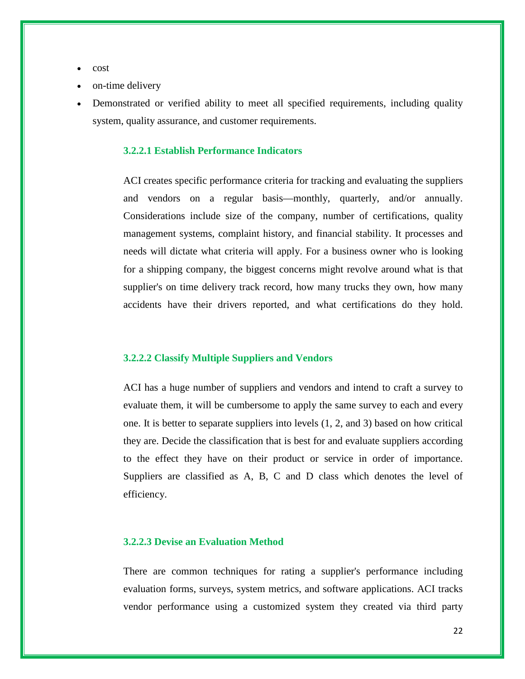- cost
- on-time delivery
- Demonstrated or verified ability to meet all specified requirements, including quality system, quality assurance, and customer requirements.

# **3.2.2.1 Establish Performance Indicators**

ACI creates specific performance criteria for tracking and evaluating the suppliers and vendors on a regular basis—monthly, quarterly, and/or annually. Considerations include size of the company, number of certifications, quality management systems, complaint history, and financial stability. It processes and needs will dictate what criteria will apply. For a business owner who is looking for a shipping company, the biggest concerns might revolve around what is that supplier's on time delivery track record, how many trucks they own, how many accidents have their drivers reported, and what certifications do they hold.

#### **3.2.2.2 Classify Multiple Suppliers and Vendors**

ACI has a huge number of suppliers and vendors and intend to craft a survey to evaluate them, it will be cumbersome to apply the same survey to each and every one. It is better to separate suppliers into levels (1, 2, and 3) based on how critical they are. Decide the classification that is best for and evaluate suppliers according to the effect they have on their product or service in order of importance. Suppliers are classified as A, B, C and D class which denotes the level of efficiency.

#### **3.2.2.3 Devise an Evaluation Method**

There are common techniques for rating a supplier's performance including evaluation forms, surveys, system metrics, and software applications. ACI tracks vendor performance using a customized system they created via third party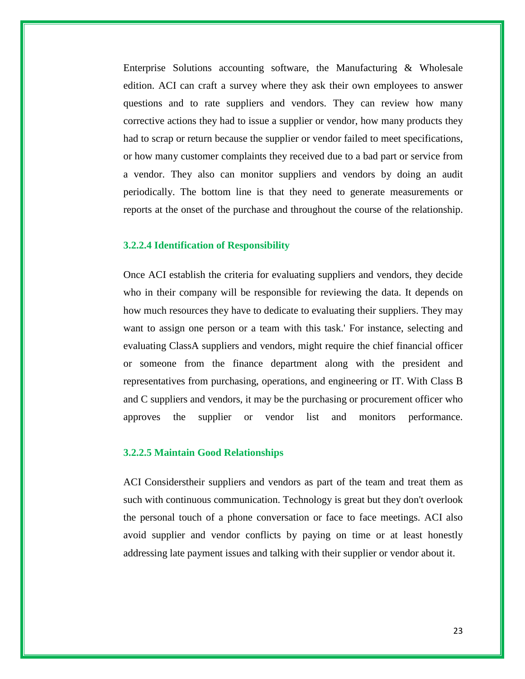Enterprise Solutions accounting software, the Manufacturing & Wholesale edition. ACI can craft a survey where they ask their own employees to answer questions and to rate suppliers and vendors. They can review how many corrective actions they had to issue a supplier or vendor, how many products they had to scrap or return because the supplier or vendor failed to meet specifications, or how many customer complaints they received due to a bad part or service from a vendor. They also can monitor suppliers and vendors by doing an audit periodically. The bottom line is that they need to generate measurements or reports at the onset of the purchase and throughout the course of the relationship.

#### **3.2.2.4 Identification of Responsibility**

Once ACI establish the criteria for evaluating suppliers and vendors, they decide who in their company will be responsible for reviewing the data. It depends on how much resources they have to dedicate to evaluating their suppliers. They may want to assign one person or a team with this task.' For instance, selecting and evaluating ClassA suppliers and vendors, might require the chief financial officer or someone from the finance department along with the president and representatives from purchasing, operations, and engineering or IT. With Class B and C suppliers and vendors, it may be the purchasing or procurement officer who approves the supplier or vendor list and monitors performance.

#### **3.2.2.5 Maintain Good Relationships**

ACI Considerstheir suppliers and vendors as part of the team and treat them as such with continuous communication. Technology is great but they don't overlook the personal touch of a phone conversation or face to face meetings. ACI also avoid supplier and vendor conflicts by paying on time or at least honestly addressing late payment issues and talking with their supplier or vendor about it.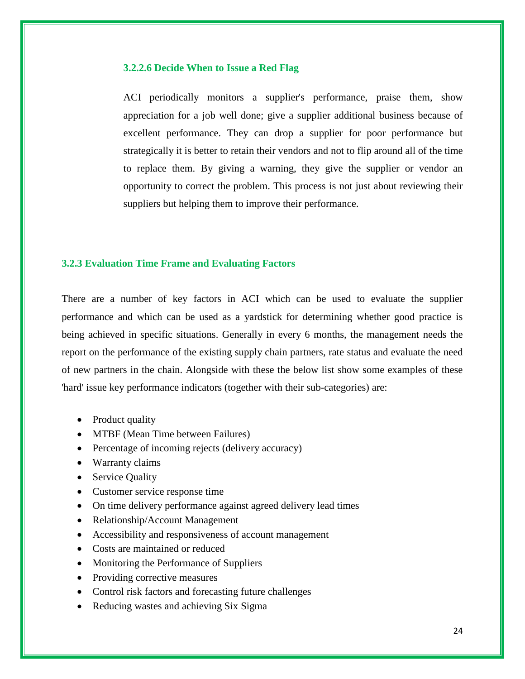#### **3.2.2.6 Decide When to Issue a Red Flag**

ACI periodically monitors a supplier's performance, praise them, show appreciation for a job well done; give a supplier additional business because of excellent performance. They can drop a supplier for poor performance but strategically it is better to retain their vendors and not to flip around all of the time to replace them. By giving a warning, they give the supplier or vendor an opportunity to correct the problem. This process is not just about reviewing their suppliers but helping them to improve their performance.

# **3.2.3 Evaluation Time Frame and Evaluating Factors**

There are a number of key factors in ACI which can be used to evaluate the supplier performance and which can be used as a yardstick for determining whether good practice is being achieved in specific situations. Generally in every 6 months, the management needs the report on the performance of the existing supply chain partners, rate status and evaluate the need of new partners in the chain. Alongside with these the below list show some examples of these 'hard' issue key performance indicators (together with their sub-categories) are:

- Product quality
- MTBF (Mean Time between Failures)
- Percentage of incoming rejects (delivery accuracy)
- Warranty claims
- Service Quality
- Customer service response time
- On time delivery performance against agreed delivery lead times
- Relationship/Account Management
- Accessibility and responsiveness of account management
- Costs are maintained or reduced
- Monitoring the Performance of Suppliers
- Providing corrective measures
- Control risk factors and forecasting future challenges
- Reducing wastes and achieving Six Sigma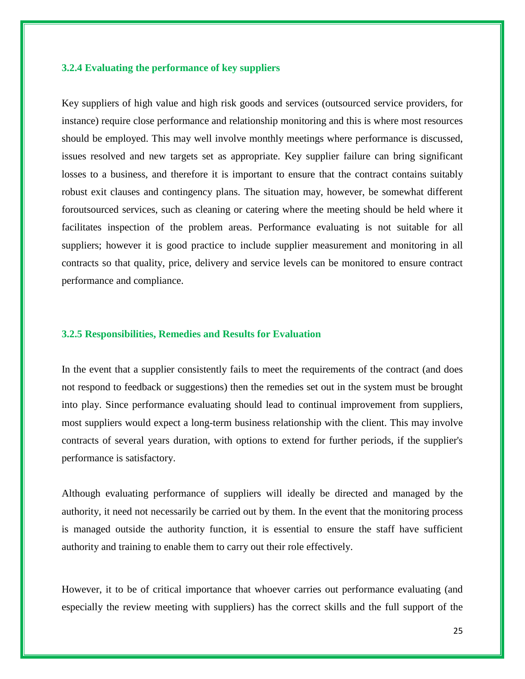# **3.2.4 Evaluating the performance of key suppliers**

Key suppliers of high value and high risk goods and services (outsourced service providers, for instance) require close performance and relationship monitoring and this is where most resources should be employed. This may well involve monthly meetings where performance is discussed, issues resolved and new targets set as appropriate. Key supplier failure can bring significant losses to a business, and therefore it is important to ensure that the contract contains suitably robust exit clauses and contingency plans. The situation may, however, be somewhat different foroutsourced services, such as cleaning or catering where the meeting should be held where it facilitates inspection of the problem areas. Performance evaluating is not suitable for all suppliers; however it is good practice to include supplier measurement and monitoring in all contracts so that quality, price, delivery and service levels can be monitored to ensure contract performance and compliance.

#### **3.2.5 Responsibilities, Remedies and Results for Evaluation**

In the event that a supplier consistently fails to meet the requirements of the contract (and does not respond to feedback or suggestions) then the remedies set out in the system must be brought into play. Since performance evaluating should lead to continual improvement from suppliers, most suppliers would expect a long-term business relationship with the client. This may involve contracts of several years duration, with options to extend for further periods, if the supplier's performance is satisfactory.

Although evaluating performance of suppliers will ideally be directed and managed by the authority, it need not necessarily be carried out by them. In the event that the monitoring process is managed outside the authority function, it is essential to ensure the staff have sufficient authority and training to enable them to carry out their role effectively.

However, it to be of critical importance that whoever carries out performance evaluating (and especially the review meeting with suppliers) has the correct skills and the full support of the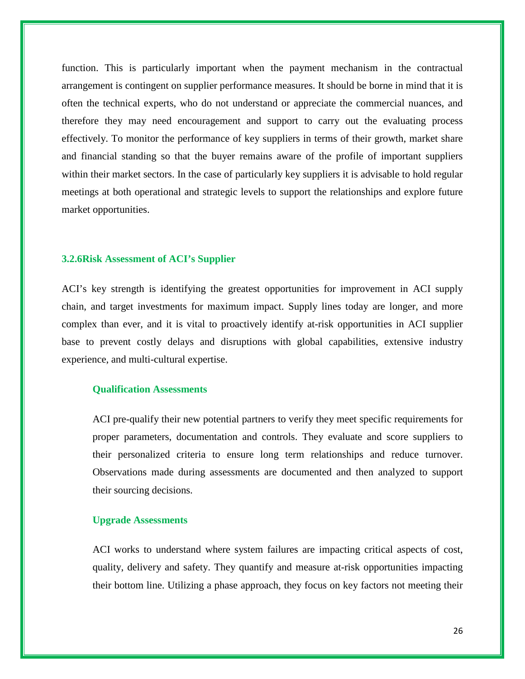function. This is particularly important when the payment mechanism in the contractual arrangement is contingent on supplier performance measures. It should be borne in mind that it is often the technical experts, who do not understand or appreciate the commercial nuances, and therefore they may need encouragement and support to carry out the evaluating process effectively. To monitor the performance of key suppliers in terms of their growth, market share and financial standing so that the buyer remains aware of the profile of important suppliers within their market sectors. In the case of particularly key suppliers it is advisable to hold regular meetings at both operational and strategic levels to support the relationships and explore future market opportunities.

#### **3.2.6Risk Assessment of ACI's Supplier**

ACI's key strength is identifying the greatest opportunities for improvement in ACI supply chain, and target investments for maximum impact. Supply lines today are longer, and more complex than ever, and it is vital to proactively identify at-risk opportunities in ACI supplier base to prevent costly delays and disruptions with global capabilities, extensive industry experience, and multi-cultural expertise.

### **Qualification Assessments**

ACI pre-qualify their new potential partners to verify they meet specific requirements for proper parameters, documentation and controls. They evaluate and score suppliers to their personalized criteria to ensure long term relationships and reduce turnover. Observations made during assessments are documented and then analyzed to support their sourcing decisions.

# **Upgrade Assessments**

ACI works to understand where system failures are impacting critical aspects of cost, quality, delivery and safety. They quantify and measure at-risk opportunities impacting their bottom line. Utilizing a phase approach, they focus on key factors not meeting their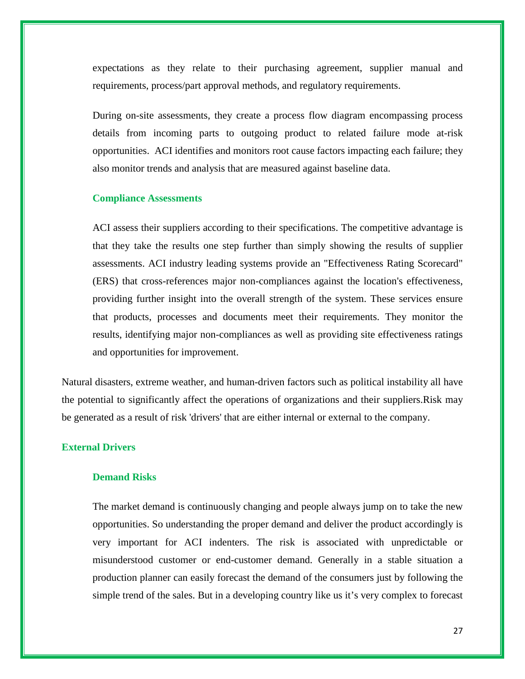expectations as they relate to their purchasing agreement, supplier manual and requirements, process/part approval methods, and regulatory requirements.

During on-site assessments, they create a process flow diagram encompassing process details from incoming parts to outgoing product to related failure mode at-risk opportunities. ACI identifies and monitors root cause factors impacting each failure; they also monitor trends and analysis that are measured against baseline data.

#### **Compliance Assessments**

ACI assess their suppliers according to their specifications. The competitive advantage is that they take the results one step further than simply showing the results of supplier assessments. ACI industry leading systems provide an "Effectiveness Rating Scorecard" (ERS) that cross-references major non-compliances against the location's effectiveness, providing further insight into the overall strength of the system. These services ensure that products, processes and documents meet their requirements. They monitor the results, identifying major non-compliances as well as providing site effectiveness ratings and opportunities for improvement.

Natural disasters, extreme weather, and human-driven factors such as political instability all have the potential to significantly affect the operations of organizations and their suppliers.Risk may be generated as a result of risk 'drivers' that are either internal or external to the company.

#### **External Drivers**

# **Demand Risks**

The market demand is continuously changing and people always jump on to take the new opportunities. So understanding the proper demand and deliver the product accordingly is very important for ACI indenters. The risk is associated with unpredictable or misunderstood customer or end-customer demand. Generally in a stable situation a production planner can easily forecast the demand of the consumers just by following the simple trend of the sales. But in a developing country like us it's very complex to forecast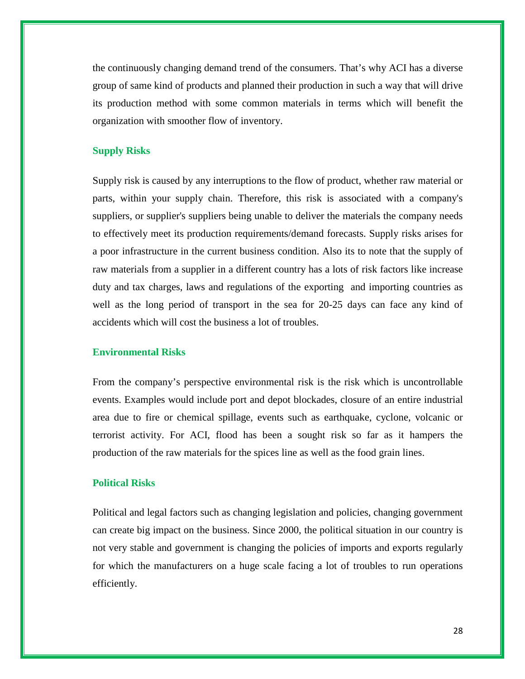the continuously changing demand trend of the consumers. That's why ACI has a diverse group of same kind of products and planned their production in such a way that will drive its production method with some common materials in terms which will benefit the organization with smoother flow of inventory.

# **Supply Risks**

Supply risk is caused by any interruptions to the flow of product, whether raw material or parts, within your supply chain. Therefore, this risk is associated with a company's suppliers, or supplier's suppliers being unable to deliver the materials the company needs to effectively meet its production requirements/demand forecasts. Supply risks arises for a poor infrastructure in the current business condition. Also its to note that the supply of raw materials from a supplier in a different country has a lots of risk factors like increase duty and tax charges, laws and regulations of the exporting and importing countries as well as the long period of transport in the sea for 20-25 days can face any kind of accidents which will cost the business a lot of troubles.

#### **Environmental Risks**

From the company's perspective environmental risk is the risk which is uncontrollable events. Examples would include port and depot blockades, closure of an entire industrial area due to fire or chemical spillage, events such as earthquake, cyclone, volcanic or terrorist activity. For ACI, flood has been a sought risk so far as it hampers the production of the raw materials for the spices line as well as the food grain lines.

#### **Political Risks**

Political and legal factors such as changing legislation and policies, changing government can create big impact on the business. Since 2000, the political situation in our country is not very stable and government is changing the policies of imports and exports regularly for which the manufacturers on a huge scale facing a lot of troubles to run operations efficiently.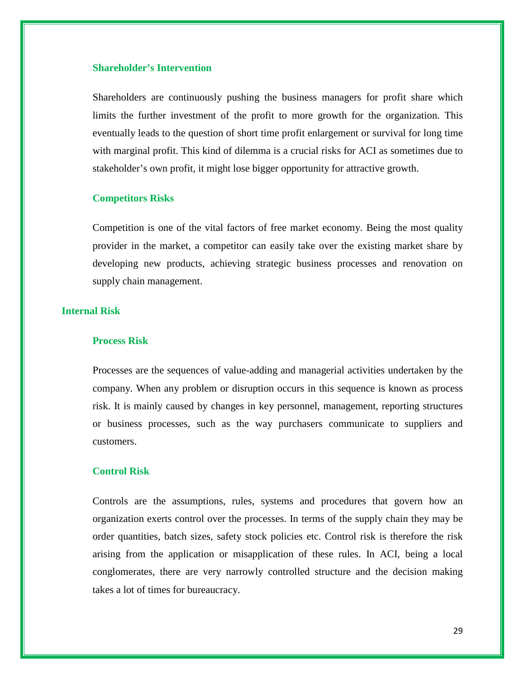#### **Shareholder's Intervention**

Shareholders are continuously pushing the business managers for profit share which limits the further investment of the profit to more growth for the organization. This eventually leads to the question of short time profit enlargement or survival for long time with marginal profit. This kind of dilemma is a crucial risks for ACI as sometimes due to stakeholder's own profit, it might lose bigger opportunity for attractive growth.

#### **Competitors Risks**

Competition is one of the vital factors of free market economy. Being the most quality provider in the market, a competitor can easily take over the existing market share by developing new products, achieving strategic business processes and renovation on supply chain management.

# **Internal Risk**

# **Process Risk**

Processes are the sequences of value-adding and managerial activities undertaken by the company. When any problem or disruption occurs in this sequence is known as process risk. It is mainly caused by changes in key personnel, management, reporting structures or business processes, such as the way purchasers communicate to suppliers and customers.

#### **Control Risk**

Controls are the assumptions, rules, systems and procedures that govern how an organization exerts control over the processes. In terms of the supply chain they may be order quantities, batch sizes, safety stock policies etc. Control risk is therefore the risk arising from the application or misapplication of these rules. In ACI, being a local conglomerates, there are very narrowly controlled structure and the decision making takes a lot of times for bureaucracy.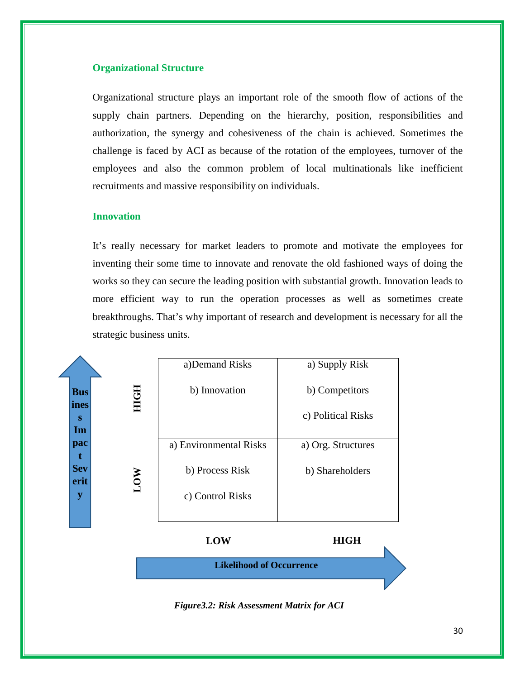#### **Organizational Structure**

Organizational structure plays an important role of the smooth flow of actions of the supply chain partners. Depending on the hierarchy, position, responsibilities and authorization, the synergy and cohesiveness of the chain is achieved. Sometimes the challenge is faced by ACI as because of the rotation of the employees, turnover of the employees and also the common problem of local multinationals like inefficient recruitments and massive responsibility on individuals.

#### **Innovation**

It's really necessary for market leaders to promote and motivate the employees for inventing their some time to innovate and renovate the old fashioned ways of doing the works so they can secure the leading position with substantial growth. Innovation leads to more efficient way to run the operation processes as well as sometimes create breakthroughs. That's why important of research and development is necessary for all the strategic business units.

|                    |            | a)Demand Risks         | a) Supply Risk     |
|--------------------|------------|------------------------|--------------------|
| <b>Bus</b>         | 3          | b) Innovation          | b) Competitors     |
| ines<br>S          | Ĕ          |                        | c) Political Risks |
| Im                 |            |                        |                    |
| pac<br>t           |            | a) Environmental Risks | a) Org. Structures |
| <b>Sev</b><br>erit | <b>NOT</b> | b) Process Risk        | b) Shareholders    |
| y                  |            | c) Control Risks       |                    |
|                    |            |                        |                    |

**Likelihood of Occurrence LOW HIGH**

*Figure3.2: Risk Assessment Matrix for ACI*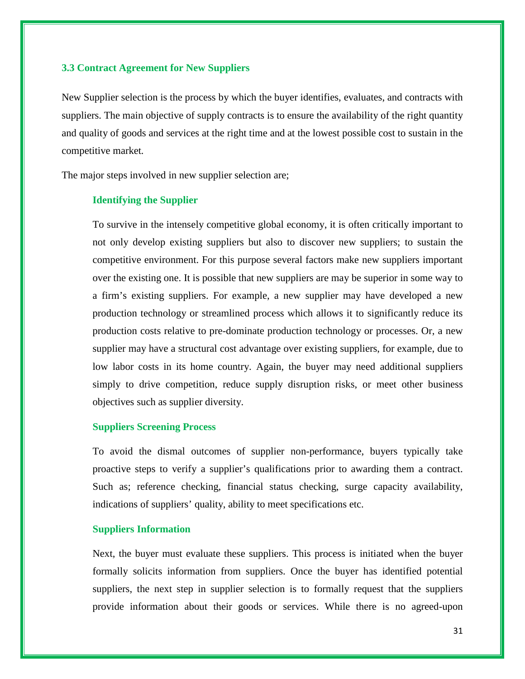# **3.3 Contract Agreement for New Suppliers**

New Supplier selection is the process by which the buyer identifies, evaluates, and contracts with suppliers. The main objective of supply contracts is to ensure the availability of the right quantity and quality of goods and services at the right time and at the lowest possible cost to sustain in the competitive market*.*

The major steps involved in new supplier selection are;

# **Identifying the Supplier**

To survive in the intensely competitive global economy, it is often critically important to not only develop existing suppliers but also to discover new suppliers; to sustain the competitive environment. For this purpose several factors make new suppliers important over the existing one. It is possible that new suppliers are may be superior in some way to a firm's existing suppliers. For example, a new supplier may have developed a new production technology or streamlined process which allows it to significantly reduce its production costs relative to pre-dominate production technology or processes. Or, a new supplier may have a structural cost advantage over existing suppliers, for example, due to low labor costs in its home country. Again, the buyer may need additional suppliers simply to drive competition, reduce supply disruption risks, or meet other business objectives such as supplier diversity.

#### **Suppliers Screening Process**

To avoid the dismal outcomes of supplier non-performance, buyers typically take proactive steps to verify a supplier's qualifications prior to awarding them a contract. Such as; reference checking, financial status checking, surge capacity availability, indications of suppliers' quality, ability to meet specifications etc.

# **Suppliers Information**

Next, the buyer must evaluate these suppliers. This process is initiated when the buyer formally solicits information from suppliers. Once the buyer has identified potential suppliers, the next step in supplier selection is to formally request that the suppliers provide information about their goods or services. While there is no agreed-upon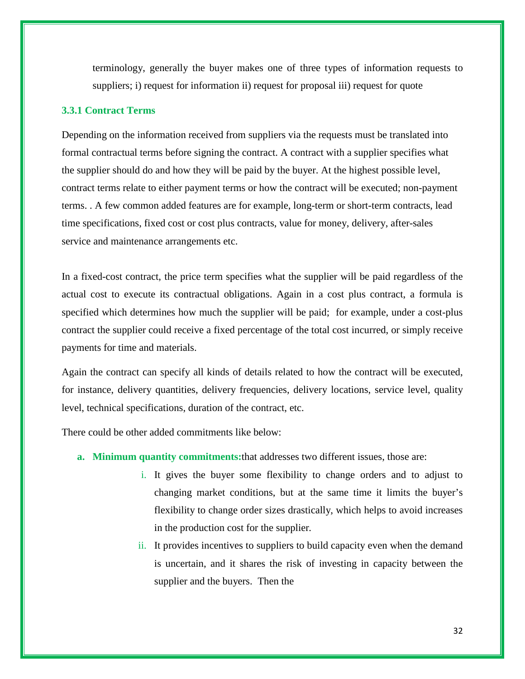terminology, generally the buyer makes one of three types of information requests to suppliers; i) request for information ii) request for proposal iii) request for quote

# **3.3.1 Contract Terms**

Depending on the information received from suppliers via the requests must be translated into formal contractual terms before signing the contract. A contract with a supplier specifies what the supplier should do and how they will be paid by the buyer. At the highest possible level, contract terms relate to either payment terms or how the contract will be executed; non-payment terms. . A few common added features are for example, long-term or short-term contracts, lead time specifications, fixed cost or cost plus contracts, value for money, delivery, after-sales service and maintenance arrangements etc.

In a fixed-cost contract, the price term specifies what the supplier will be paid regardless of the actual cost to execute its contractual obligations. Again in a cost plus contract, a formula is specified which determines how much the supplier will be paid; for example, under a cost-plus contract the supplier could receive a fixed percentage of the total cost incurred, or simply receive payments for time and materials.

Again the contract can specify all kinds of details related to how the contract will be executed, for instance, delivery quantities, delivery frequencies, delivery locations, service level, quality level, technical specifications, duration of the contract, etc.

There could be other added commitments like below:

- **a. Minimum quantity commitments:**that addresses two different issues, those are:
	- i. It gives the buyer some flexibility to change orders and to adjust to changing market conditions, but at the same time it limits the buyer's flexibility to change order sizes drastically, which helps to avoid increases in the production cost for the supplier*.*
	- ii. It provides incentives to suppliers to build capacity even when the demand is uncertain, and it shares the risk of investing in capacity between the supplier and the buyers. Then the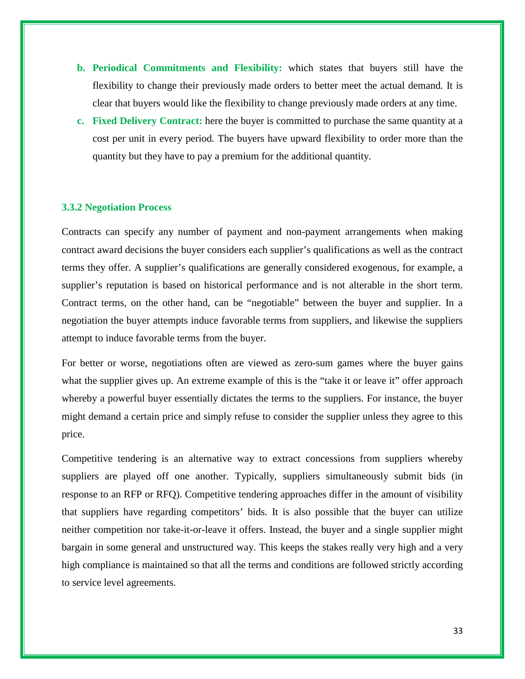- **b. Periodical Commitments and Flexibility:** which states that buyers still have the flexibility to change their previously made orders to better meet the actual demand*.* It is clear that buyers would like the flexibility to change previously made orders at any time.
- **c. Fixed Delivery Contract:** here the buyer is committed to purchase the same quantity at a cost per unit in every period*.* The buyers have upward flexibility to order more than the quantity but they have to pay a premium for the additional quantity.

# **3.3.2 Negotiation Process**

Contracts can specify any number of payment and non-payment arrangements when making contract award decisions the buyer considers each supplier's qualifications as well as the contract terms they offer. A supplier's qualifications are generally considered exogenous, for example, a supplier's reputation is based on historical performance and is not alterable in the short term. Contract terms, on the other hand, can be "negotiable" between the buyer and supplier. In a negotiation the buyer attempts induce favorable terms from suppliers, and likewise the suppliers attempt to induce favorable terms from the buyer.

For better or worse, negotiations often are viewed as zero-sum games where the buyer gains what the supplier gives up. An extreme example of this is the "take it or leave it" offer approach whereby a powerful buyer essentially dictates the terms to the suppliers. For instance, the buyer might demand a certain price and simply refuse to consider the supplier unless they agree to this price.

Competitive tendering is an alternative way to extract concessions from suppliers whereby suppliers are played off one another. Typically, suppliers simultaneously submit bids (in response to an RFP or RFQ). Competitive tendering approaches differ in the amount of visibility that suppliers have regarding competitors' bids. It is also possible that the buyer can utilize neither competition nor take-it-or-leave it offers. Instead, the buyer and a single supplier might bargain in some general and unstructured way. This keeps the stakes really very high and a very high compliance is maintained so that all the terms and conditions are followed strictly according to service level agreements.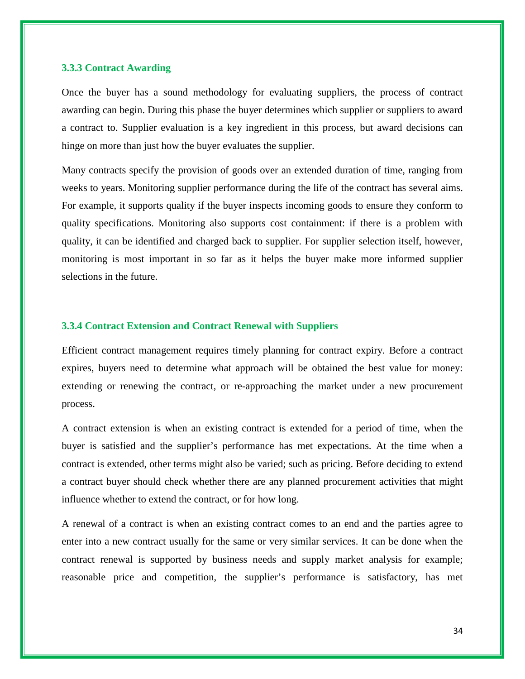# **3.3.3 Contract Awarding**

Once the buyer has a sound methodology for evaluating suppliers, the process of contract awarding can begin. During this phase the buyer determines which supplier or suppliers to award a contract to. Supplier evaluation is a key ingredient in this process, but award decisions can hinge on more than just how the buyer evaluates the supplier.

Many contracts specify the provision of goods over an extended duration of time, ranging from weeks to years. Monitoring supplier performance during the life of the contract has several aims. For example, it supports quality if the buyer inspects incoming goods to ensure they conform to quality specifications. Monitoring also supports cost containment: if there is a problem with quality, it can be identified and charged back to supplier. For supplier selection itself, however, monitoring is most important in so far as it helps the buyer make more informed supplier selections in the future.

#### **3.3.4 Contract Extension and Contract Renewal with Suppliers**

Efficient contract management requires timely planning for contract expiry. Before a contract expires, buyers need to determine what approach will be obtained the best value for money: extending or renewing the contract, or re-approaching the market under a new procurement process.

A contract extension is when an existing contract is extended for a period of time, when the buyer is satisfied and the supplier's performance has met expectations. At the time when a contract is extended, other terms might also be varied; such as pricing. Before deciding to extend a contract buyer should check whether there are any planned procurement activities that might influence whether to extend the contract, or for how long.

A renewal of a contract is when an existing contract comes to an end and the parties agree to enter into a new contract usually for the same or very similar services. It can be done when the contract renewal is supported by business needs and supply market analysis for example; reasonable price and competition, the supplier's performance is satisfactory, has met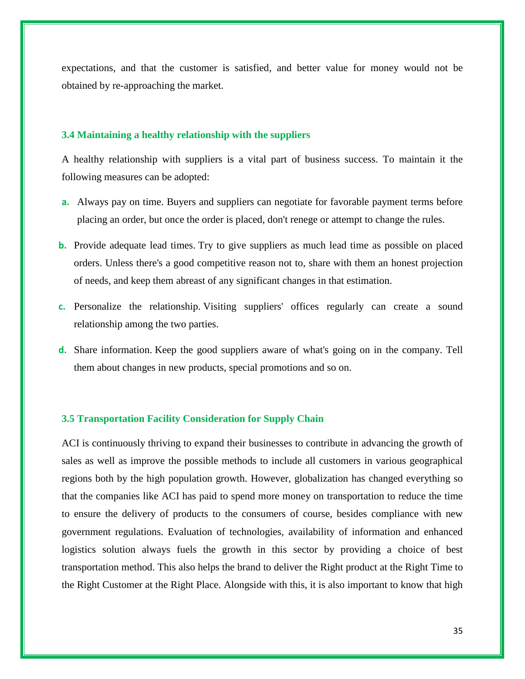expectations, and that the customer is satisfied, and better value for money would not be obtained by re-approaching the market.

#### **3.4 Maintaining a healthy relationship with the suppliers**

A healthy relationship with suppliers is a vital part of business success. To maintain it the following measures can be adopted:

- **a.** Always pay on time. Buyers and suppliers can negotiate for favorable payment terms before placing an order, but once the order is placed, don't renege or attempt to change the rules.
- **b.** Provide adequate lead times. Try to give suppliers as much lead time as possible on placed orders. Unless there's a good competitive reason not to, share with them an honest projection of needs, and keep them abreast of any significant changes in that estimation.
- **c.** Personalize the relationship. Visiting suppliers' offices regularly can create a sound relationship among the two parties.
- **d.** Share information. Keep the good suppliers aware of what's going on in the company. Tell them about changes in new products, special promotions and so on.

#### **3.5 Transportation Facility Consideration for Supply Chain**

ACI is continuously thriving to expand their businesses to contribute in advancing the growth of sales as well as improve the possible methods to include all customers in various geographical regions both by the high population growth. However, globalization has changed everything so that the companies like ACI has paid to spend more money on transportation to reduce the time to ensure the delivery of products to the consumers of course, besides compliance with new government regulations. Evaluation of technologies, availability of information and enhanced logistics solution always fuels the growth in this sector by providing a choice of best transportation method. This also helps the brand to deliver the Right product at the Right Time to the Right Customer at the Right Place. Alongside with this, it is also important to know that high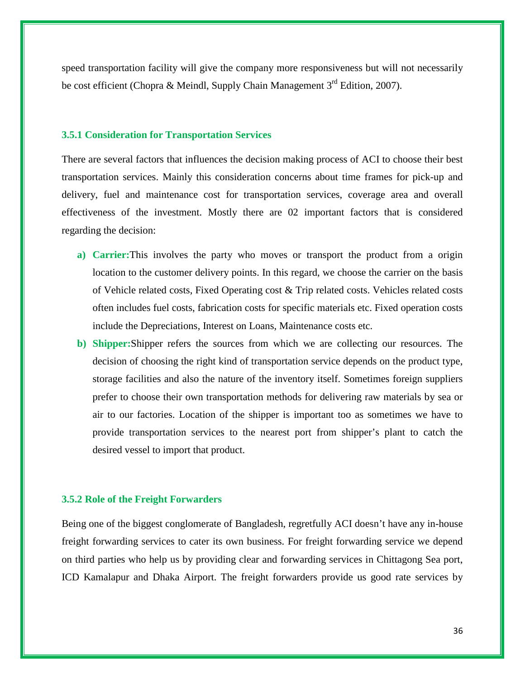speed transportation facility will give the company more responsiveness but will not necessarily be cost efficient (Chopra & Meindl, Supply Chain Management  $3<sup>rd</sup>$  Edition, 2007).

#### **3.5.1 Consideration for Transportation Services**

There are several factors that influences the decision making process of ACI to choose their best transportation services. Mainly this consideration concerns about time frames for pick-up and delivery, fuel and maintenance cost for transportation services, coverage area and overall effectiveness of the investment. Mostly there are 02 important factors that is considered regarding the decision:

- **a) Carrier:**This involves the party who moves or transport the product from a origin location to the customer delivery points. In this regard, we choose the carrier on the basis of Vehicle related costs, Fixed Operating cost & Trip related costs. Vehicles related costs often includes fuel costs, fabrication costs for specific materials etc. Fixed operation costs include the Depreciations, Interest on Loans, Maintenance costs etc.
- **b) Shipper:**Shipper refers the sources from which we are collecting our resources. The decision of choosing the right kind of transportation service depends on the product type, storage facilities and also the nature of the inventory itself. Sometimes foreign suppliers prefer to choose their own transportation methods for delivering raw materials by sea or air to our factories. Location of the shipper is important too as sometimes we have to provide transportation services to the nearest port from shipper's plant to catch the desired vessel to import that product.

#### **3.5.2 Role of the Freight Forwarders**

Being one of the biggest conglomerate of Bangladesh, regretfully ACI doesn't have any in-house freight forwarding services to cater its own business. For freight forwarding service we depend on third parties who help us by providing clear and forwarding services in Chittagong Sea port, ICD Kamalapur and Dhaka Airport. The freight forwarders provide us good rate services by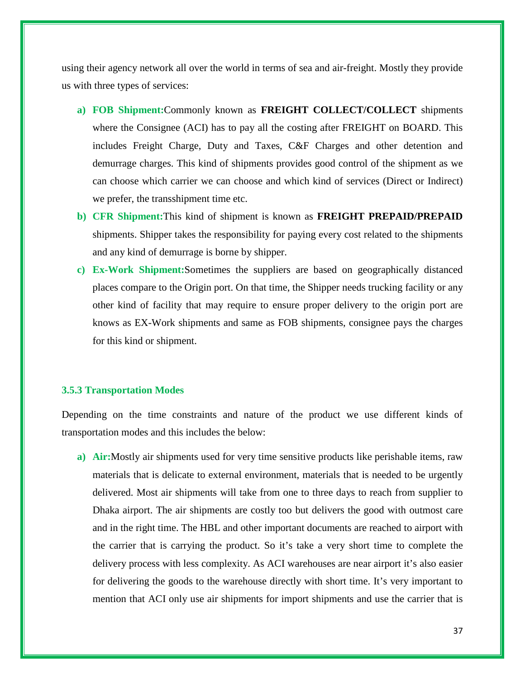using their agency network all over the world in terms of sea and air-freight. Mostly they provide us with three types of services:

- **a) FOB Shipment:**Commonly known as **FREIGHT COLLECT/COLLECT** shipments where the Consignee (ACI) has to pay all the costing after FREIGHT on BOARD. This includes Freight Charge, Duty and Taxes, C&F Charges and other detention and demurrage charges. This kind of shipments provides good control of the shipment as we can choose which carrier we can choose and which kind of services (Direct or Indirect) we prefer, the transshipment time etc.
- **b) CFR Shipment:**This kind of shipment is known as **FREIGHT PREPAID/PREPAID** shipments. Shipper takes the responsibility for paying every cost related to the shipments and any kind of demurrage is borne by shipper.
- **c) Ex-Work Shipment:**Sometimes the suppliers are based on geographically distanced places compare to the Origin port. On that time, the Shipper needs trucking facility or any other kind of facility that may require to ensure proper delivery to the origin port are knows as EX-Work shipments and same as FOB shipments, consignee pays the charges for this kind or shipment.

### **3.5.3 Transportation Modes**

Depending on the time constraints and nature of the product we use different kinds of transportation modes and this includes the below:

**a) Air:**Mostly air shipments used for very time sensitive products like perishable items, raw materials that is delicate to external environment, materials that is needed to be urgently delivered. Most air shipments will take from one to three days to reach from supplier to Dhaka airport. The air shipments are costly too but delivers the good with outmost care and in the right time. The HBL and other important documents are reached to airport with the carrier that is carrying the product. So it's take a very short time to complete the delivery process with less complexity. As ACI warehouses are near airport it's also easier for delivering the goods to the warehouse directly with short time. It's very important to mention that ACI only use air shipments for import shipments and use the carrier that is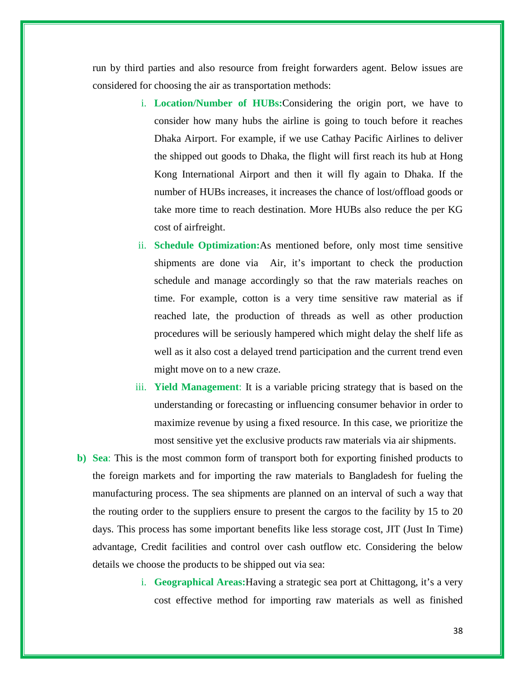run by third parties and also resource from freight forwarders agent. Below issues are considered for choosing the air as transportation methods:

- i. **Location/Number of HUBs:**Considering the origin port, we have to consider how many hubs the airline is going to touch before it reaches Dhaka Airport. For example, if we use Cathay Pacific Airlines to deliver the shipped out goods to Dhaka, the flight will first reach its hub at Hong Kong International Airport and then it will fly again to Dhaka. If the number of HUBs increases, it increases the chance of lost/offload goods or take more time to reach destination. More HUBs also reduce the per KG cost of airfreight.
- ii. **Schedule Optimization:**As mentioned before, only most time sensitive shipments are done via Air, it's important to check the production schedule and manage accordingly so that the raw materials reaches on time. For example, cotton is a very time sensitive raw material as if reached late, the production of threads as well as other production procedures will be seriously hampered which might delay the shelf life as well as it also cost a delayed trend participation and the current trend even might move on to a new craze.
- iii. **Yield Management**: It is a variable pricing strategy that is based on the understanding or forecasting or influencing consumer behavior in order to maximize revenue by using a fixed resource. In this case, we prioritize the most sensitive yet the exclusive products raw materials via air shipments.
- **b) Sea**: This is the most common form of transport both for exporting finished products to the foreign markets and for importing the raw materials to Bangladesh for fueling the manufacturing process. The sea shipments are planned on an interval of such a way that the routing order to the suppliers ensure to present the cargos to the facility by 15 to 20 days. This process has some important benefits like less storage cost, JIT (Just In Time) advantage, Credit facilities and control over cash outflow etc. Considering the below details we choose the products to be shipped out via sea:
	- i. **Geographical Areas:**Having a strategic sea port at Chittagong, it's a very cost effective method for importing raw materials as well as finished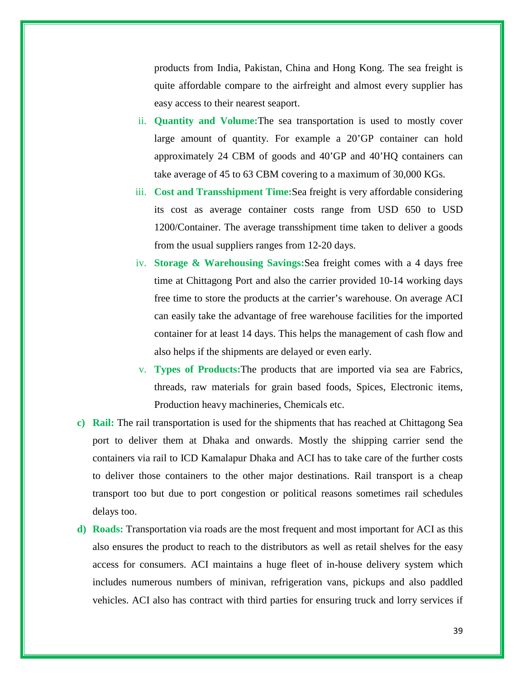products from India, Pakistan, China and Hong Kong. The sea freight is quite affordable compare to the airfreight and almost every supplier has easy access to their nearest seaport.

- ii. **Quantity and Volume:**The sea transportation is used to mostly cover large amount of quantity. For example a 20'GP container can hold approximately 24 CBM of goods and 40'GP and 40'HQ containers can take average of 45 to 63 CBM covering to a maximum of 30,000 KGs.
- iii. **Cost and Transshipment Time:**Sea freight is very affordable considering its cost as average container costs range from USD 650 to USD 1200/Container. The average transshipment time taken to deliver a goods from the usual suppliers ranges from 12-20 days.
- iv. **Storage & Warehousing Savings:**Sea freight comes with a 4 days free time at Chittagong Port and also the carrier provided 10-14 working days free time to store the products at the carrier's warehouse. On average ACI can easily take the advantage of free warehouse facilities for the imported container for at least 14 days. This helps the management of cash flow and also helps if the shipments are delayed or even early.
- v. **Types of Products:**The products that are imported via sea are Fabrics, threads, raw materials for grain based foods, Spices, Electronic items, Production heavy machineries, Chemicals etc.
- **c) Rail:** The rail transportation is used for the shipments that has reached at Chittagong Sea port to deliver them at Dhaka and onwards. Mostly the shipping carrier send the containers via rail to ICD Kamalapur Dhaka and ACI has to take care of the further costs to deliver those containers to the other major destinations. Rail transport is a cheap transport too but due to port congestion or political reasons sometimes rail schedules delays too.
- **d) Roads:** Transportation via roads are the most frequent and most important for ACI as this also ensures the product to reach to the distributors as well as retail shelves for the easy access for consumers. ACI maintains a huge fleet of in-house delivery system which includes numerous numbers of minivan, refrigeration vans, pickups and also paddled vehicles. ACI also has contract with third parties for ensuring truck and lorry services if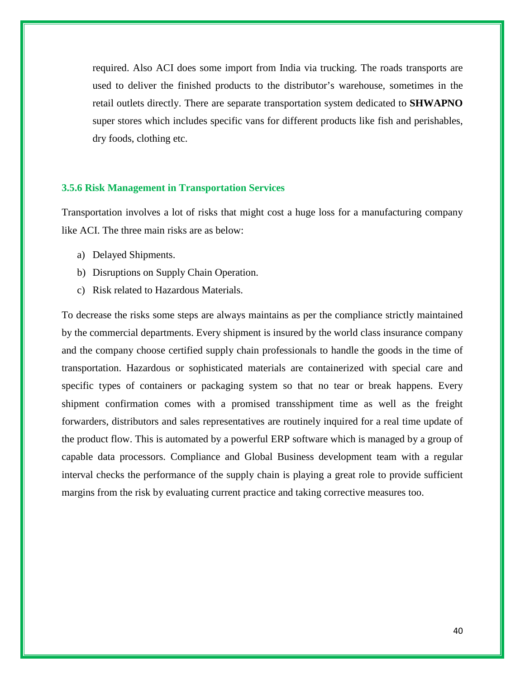required. Also ACI does some import from India via trucking. The roads transports are used to deliver the finished products to the distributor's warehouse, sometimes in the retail outlets directly. There are separate transportation system dedicated to **SHWAPNO** super stores which includes specific vans for different products like fish and perishables, dry foods, clothing etc.

### **3.5.6 Risk Management in Transportation Services**

Transportation involves a lot of risks that might cost a huge loss for a manufacturing company like ACI. The three main risks are as below:

- a) Delayed Shipments.
- b) Disruptions on Supply Chain Operation.
- c) Risk related to Hazardous Materials.

To decrease the risks some steps are always maintains as per the compliance strictly maintained by the commercial departments. Every shipment is insured by the world class insurance company and the company choose certified supply chain professionals to handle the goods in the time of transportation. Hazardous or sophisticated materials are containerized with special care and specific types of containers or packaging system so that no tear or break happens. Every shipment confirmation comes with a promised transshipment time as well as the freight forwarders, distributors and sales representatives are routinely inquired for a real time update of the product flow. This is automated by a powerful ERP software which is managed by a group of capable data processors. Compliance and Global Business development team with a regular interval checks the performance of the supply chain is playing a great role to provide sufficient margins from the risk by evaluating current practice and taking corrective measures too.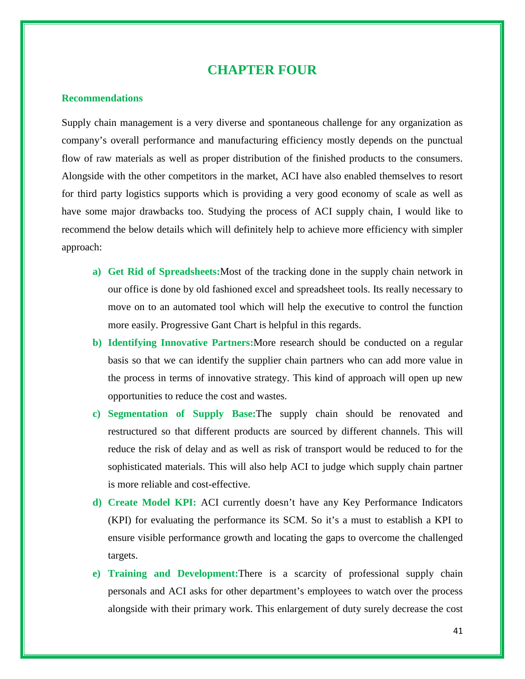# **CHAPTER FOUR**

#### **Recommendations**

Supply chain management is a very diverse and spontaneous challenge for any organization as company's overall performance and manufacturing efficiency mostly depends on the punctual flow of raw materials as well as proper distribution of the finished products to the consumers. Alongside with the other competitors in the market, ACI have also enabled themselves to resort for third party logistics supports which is providing a very good economy of scale as well as have some major drawbacks too. Studying the process of ACI supply chain, I would like to recommend the below details which will definitely help to achieve more efficiency with simpler approach:

- **a) Get Rid of Spreadsheets:**Most of the tracking done in the supply chain network in our office is done by old fashioned excel and spreadsheet tools. Its really necessary to move on to an automated tool which will help the executive to control the function more easily. Progressive Gant Chart is helpful in this regards.
- **b) Identifying Innovative Partners:**More research should be conducted on a regular basis so that we can identify the supplier chain partners who can add more value in the process in terms of innovative strategy. This kind of approach will open up new opportunities to reduce the cost and wastes.
- **c) Segmentation of Supply Base:**The supply chain should be renovated and restructured so that different products are sourced by different channels. This will reduce the risk of delay and as well as risk of transport would be reduced to for the sophisticated materials. This will also help ACI to judge which supply chain partner is more reliable and cost-effective.
- **d) Create Model KPI:** ACI currently doesn't have any Key Performance Indicators (KPI) for evaluating the performance its SCM. So it's a must to establish a KPI to ensure visible performance growth and locating the gaps to overcome the challenged targets.
- **e) Training and Development:**There is a scarcity of professional supply chain personals and ACI asks for other department's employees to watch over the process alongside with their primary work. This enlargement of duty surely decrease the cost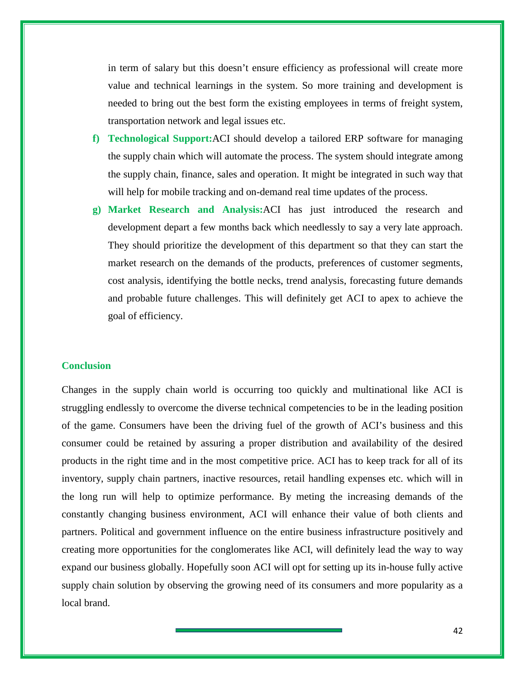in term of salary but this doesn't ensure efficiency as professional will create more value and technical learnings in the system. So more training and development is needed to bring out the best form the existing employees in terms of freight system, transportation network and legal issues etc.

- **f) Technological Support:**ACI should develop a tailored ERP software for managing the supply chain which will automate the process. The system should integrate among the supply chain, finance, sales and operation. It might be integrated in such way that will help for mobile tracking and on-demand real time updates of the process.
- **g) Market Research and Analysis:**ACI has just introduced the research and development depart a few months back which needlessly to say a very late approach. They should prioritize the development of this department so that they can start the market research on the demands of the products, preferences of customer segments, cost analysis, identifying the bottle necks, trend analysis, forecasting future demands and probable future challenges. This will definitely get ACI to apex to achieve the goal of efficiency.

#### **Conclusion**

Changes in the supply chain world is occurring too quickly and multinational like ACI is struggling endlessly to overcome the diverse technical competencies to be in the leading position of the game. Consumers have been the driving fuel of the growth of ACI's business and this consumer could be retained by assuring a proper distribution and availability of the desired products in the right time and in the most competitive price. ACI has to keep track for all of its inventory, supply chain partners, inactive resources, retail handling expenses etc. which will in the long run will help to optimize performance. By meting the increasing demands of the constantly changing business environment, ACI will enhance their value of both clients and partners. Political and government influence on the entire business infrastructure positively and creating more opportunities for the conglomerates like ACI, will definitely lead the way to way expand our business globally. Hopefully soon ACI will opt for setting up its in-house fully active supply chain solution by observing the growing need of its consumers and more popularity as a local brand.